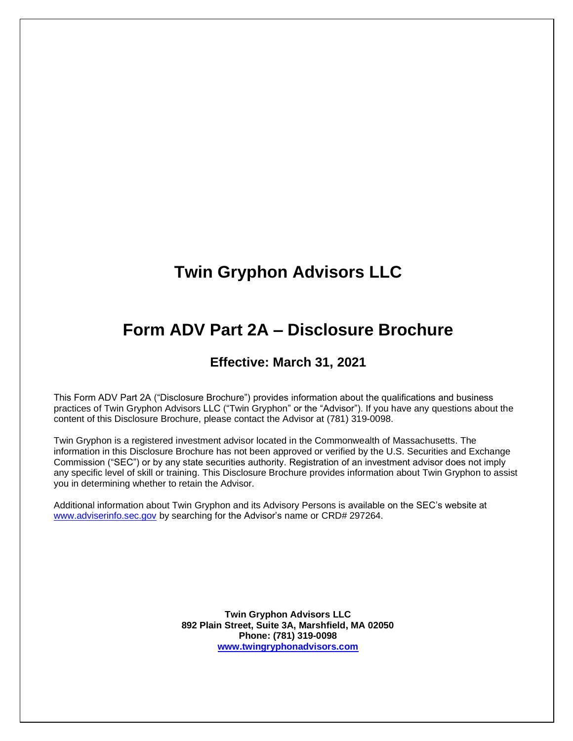# **Twin Gryphon Advisors LLC**

# **Form ADV Part 2A – Disclosure Brochure**

# **Effective: March 31, 2021**

This Form ADV Part 2A ("Disclosure Brochure") provides information about the qualifications and business practices of Twin Gryphon Advisors LLC ("Twin Gryphon" or the "Advisor"). If you have any questions about the content of this Disclosure Brochure, please contact the Advisor at (781) 319-0098.

Twin Gryphon is a registered investment advisor located in the Commonwealth of Massachusetts. The information in this Disclosure Brochure has not been approved or verified by the U.S. Securities and Exchange Commission ("SEC") or by any state securities authority. Registration of an investment advisor does not imply any specific level of skill or training. This Disclosure Brochure provides information about Twin Gryphon to assist you in determining whether to retain the Advisor.

Additional information about Twin Gryphon and its Advisory Persons is available on the SEC's website at [www.adviserinfo.sec.gov](http://www.adviserinfo.sec.gov/) by searching for the Advisor's name or CRD# 297264.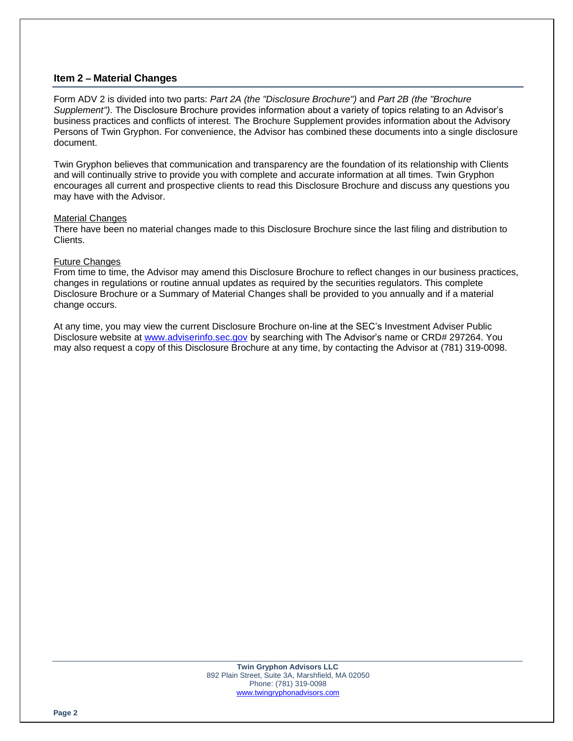# **Item 2 – Material Changes**

Form ADV 2 is divided into two parts: *Part 2A (the "Disclosure Brochure")* and *Part 2B (the "Brochure Supplement")*. The Disclosure Brochure provides information about a variety of topics relating to an Advisor's business practices and conflicts of interest. The Brochure Supplement provides information about the Advisory Persons of Twin Gryphon. For convenience, the Advisor has combined these documents into a single disclosure document.

Twin Gryphon believes that communication and transparency are the foundation of its relationship with Clients and will continually strive to provide you with complete and accurate information at all times. Twin Gryphon encourages all current and prospective clients to read this Disclosure Brochure and discuss any questions you may have with the Advisor.

#### Material Changes

There have been no material changes made to this Disclosure Brochure since the last filing and distribution to Clients.

#### Future Changes

From time to time, the Advisor may amend this Disclosure Brochure to reflect changes in our business practices, changes in regulations or routine annual updates as required by the securities regulators. This complete Disclosure Brochure or a Summary of Material Changes shall be provided to you annually and if a material change occurs.

At any time, you may view the current Disclosure Brochure on-line at the SEC's Investment Adviser Public Disclosure website at [www.adviserinfo.sec.gov](http://www.adviserinfo.sec.gov/) by searching with The Advisor's name or CRD# 297264. You may also request a copy of this Disclosure Brochure at any time, by contacting the Advisor at (781) 319-0098.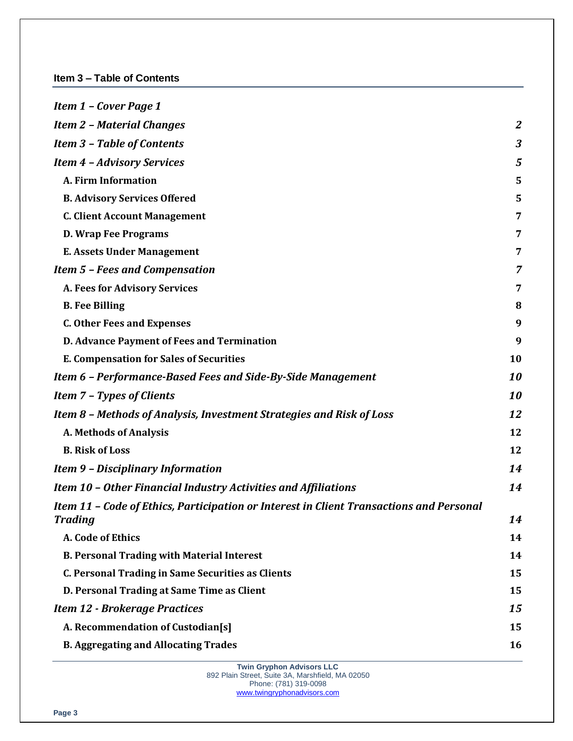**Item 3 – Table of Contents**

| Item 1 - Cover Page 1                                                                              |    |
|----------------------------------------------------------------------------------------------------|----|
| <b>Item 2 - Material Changes</b>                                                                   | 2  |
| <b>Item 3 - Table of Contents</b>                                                                  | 3  |
| <b>Item 4 - Advisory Services</b>                                                                  | 5  |
| A. Firm Information                                                                                | 5  |
| <b>B. Advisory Services Offered</b>                                                                | 5  |
| <b>C. Client Account Management</b>                                                                | 7  |
| <b>D. Wrap Fee Programs</b>                                                                        | 7  |
| <b>E. Assets Under Management</b>                                                                  | 7  |
| <b>Item 5 - Fees and Compensation</b>                                                              | 7  |
| <b>A. Fees for Advisory Services</b>                                                               | 7  |
| <b>B.</b> Fee Billing                                                                              | 8  |
| <b>C. Other Fees and Expenses</b>                                                                  | 9  |
| D. Advance Payment of Fees and Termination                                                         | 9  |
| <b>E. Compensation for Sales of Securities</b>                                                     | 10 |
| Item 6 - Performance-Based Fees and Side-By-Side Management                                        | 10 |
| <b>Item 7 - Types of Clients</b>                                                                   | 10 |
| Item 8 - Methods of Analysis, Investment Strategies and Risk of Loss                               | 12 |
| A. Methods of Analysis                                                                             | 12 |
| <b>B. Risk of Loss</b>                                                                             | 12 |
| <b>Item 9 - Disciplinary Information</b>                                                           | 14 |
| Item 10 - Other Financial Industry Activities and Affiliations                                     | 14 |
| Item 11 - Code of Ethics, Participation or Interest in Client Transactions and Personal<br>Trading | 14 |
| A. Code of Ethics                                                                                  | 14 |
| <b>B. Personal Trading with Material Interest</b>                                                  | 14 |
| C. Personal Trading in Same Securities as Clients                                                  | 15 |
| D. Personal Trading at Same Time as Client                                                         | 15 |
| <b>Item 12 - Brokerage Practices</b>                                                               | 15 |
| A. Recommendation of Custodian[s]                                                                  | 15 |
| <b>B. Aggregating and Allocating Trades</b>                                                        | 16 |
|                                                                                                    |    |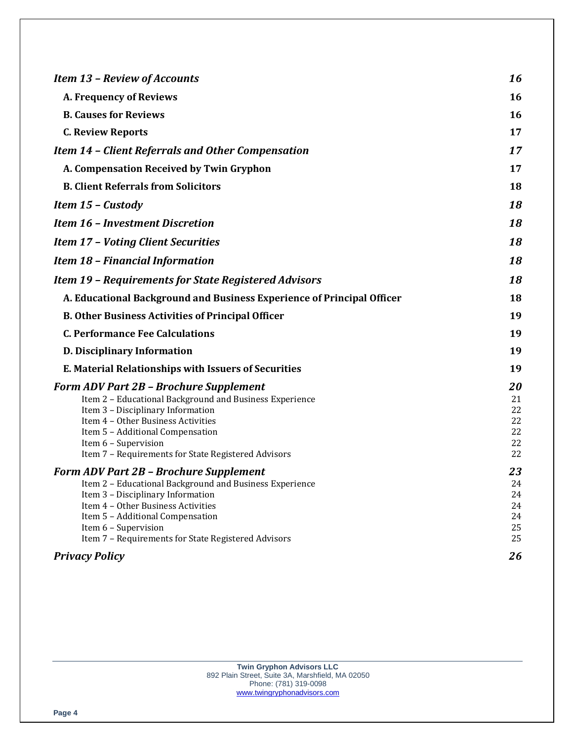| <b>Item 13 - Review of Accounts</b>                                         | 16        |
|-----------------------------------------------------------------------------|-----------|
| A. Frequency of Reviews                                                     | 16        |
| <b>B. Causes for Reviews</b>                                                | <b>16</b> |
| <b>C. Review Reports</b>                                                    | 17        |
| <b>Item 14 - Client Referrals and Other Compensation</b>                    | 17        |
|                                                                             |           |
| A. Compensation Received by Twin Gryphon                                    | 17        |
| <b>B. Client Referrals from Solicitors</b>                                  | 18        |
| Item 15 - Custody                                                           | 18        |
| <b>Item 16 - Investment Discretion</b>                                      | 18        |
| <b>Item 17 - Voting Client Securities</b>                                   | 18        |
| <b>Item 18 - Financial Information</b>                                      | 18        |
| <b>Item 19 - Requirements for State Registered Advisors</b>                 | 18        |
| A. Educational Background and Business Experience of Principal Officer      | 18        |
| <b>B. Other Business Activities of Principal Officer</b>                    | 19        |
| <b>C. Performance Fee Calculations</b>                                      | 19        |
| D. Disciplinary Information                                                 | 19        |
| E. Material Relationships with Issuers of Securities                        | 19        |
| <b>Form ADV Part 2B - Brochure Supplement</b>                               | 20        |
| Item 2 - Educational Background and Business Experience                     | 21        |
| Item 3 - Disciplinary Information                                           | 22        |
| Item 4 - Other Business Activities                                          | 22<br>22  |
| Item 5 - Additional Compensation<br>Item 6 - Supervision                    | 22        |
| Item 7 - Requirements for State Registered Advisors                         | 22        |
| <b>Form ADV Part 2B - Brochure Supplement</b>                               | 23        |
| Item 2 - Educational Background and Business Experience                     | 24        |
| Item 3 - Disciplinary Information                                           | 24        |
| Item 4 - Other Business Activities                                          | 24        |
| Item 5 - Additional Compensation                                            | 24        |
| Item 6 - Supervision<br>Item 7 - Requirements for State Registered Advisors | 25<br>25  |
|                                                                             |           |
| <b>Privacy Policy</b>                                                       | 26        |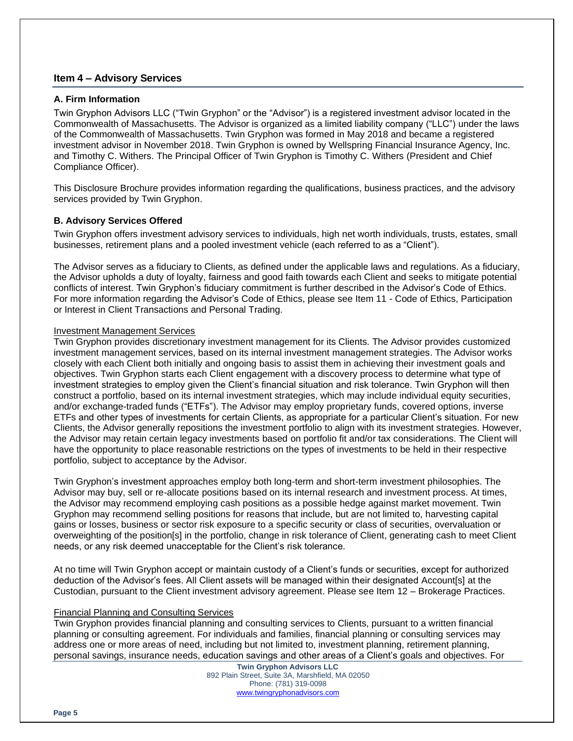# **Item 4 – Advisory Services**

#### **A. Firm Information**

Twin Gryphon Advisors LLC ("Twin Gryphon" or the "Advisor") is a registered investment advisor located in the Commonwealth of Massachusetts. The Advisor is organized as a limited liability company ("LLC") under the laws of the Commonwealth of Massachusetts. Twin Gryphon was formed in May 2018 and became a registered investment advisor in November 2018. Twin Gryphon is owned by Wellspring Financial Insurance Agency, Inc. and Timothy C. Withers. The Principal Officer of Twin Gryphon is Timothy C. Withers (President and Chief Compliance Officer).

This Disclosure Brochure provides information regarding the qualifications, business practices, and the advisory services provided by Twin Gryphon.

#### **B. Advisory Services Offered**

Twin Gryphon offers investment advisory services to individuals, high net worth individuals, trusts, estates, small businesses, retirement plans and a pooled investment vehicle (each referred to as a "Client").

The Advisor serves as a fiduciary to Clients, as defined under the applicable laws and regulations. As a fiduciary, the Advisor upholds a duty of loyalty, fairness and good faith towards each Client and seeks to mitigate potential conflicts of interest. Twin Gryphon's fiduciary commitment is further described in the Advisor's Code of Ethics. For more information regarding the Advisor's Code of Ethics, please see Item 11 - Code of Ethics, Participation or Interest in Client Transactions and Personal Trading.

#### Investment Management Services

Twin Gryphon provides discretionary investment management for its Clients. The Advisor provides customized investment management services, based on its internal investment management strategies. The Advisor works closely with each Client both initially and ongoing basis to assist them in achieving their investment goals and objectives. Twin Gryphon starts each Client engagement with a discovery process to determine what type of investment strategies to employ given the Client's financial situation and risk tolerance. Twin Gryphon will then construct a portfolio, based on its internal investment strategies, which may include individual equity securities, and/or exchange-traded funds ("ETFs"). The Advisor may employ proprietary funds, covered options, inverse ETFs and other types of investments for certain Clients, as appropriate for a particular Client's situation. For new Clients, the Advisor generally repositions the investment portfolio to align with its investment strategies. However, the Advisor may retain certain legacy investments based on portfolio fit and/or tax considerations. The Client will have the opportunity to place reasonable restrictions on the types of investments to be held in their respective portfolio, subject to acceptance by the Advisor.

Twin Gryphon's investment approaches employ both long-term and short-term investment philosophies. The Advisor may buy, sell or re-allocate positions based on its internal research and investment process. At times, the Advisor may recommend employing cash positions as a possible hedge against market movement. Twin Gryphon may recommend selling positions for reasons that include, but are not limited to, harvesting capital gains or losses, business or sector risk exposure to a specific security or class of securities, overvaluation or overweighting of the position[s] in the portfolio, change in risk tolerance of Client, generating cash to meet Client needs, or any risk deemed unacceptable for the Client's risk tolerance.

At no time will Twin Gryphon accept or maintain custody of a Client's funds or securities, except for authorized deduction of the Advisor's fees. All Client assets will be managed within their designated Account[s] at the Custodian, pursuant to the Client investment advisory agreement. Please see Item 12 – Brokerage Practices.

#### Financial Planning and Consulting Services

Twin Gryphon provides financial planning and consulting services to Clients, pursuant to a written financial planning or consulting agreement. For individuals and families, financial planning or consulting services may address one or more areas of need, including but not limited to, investment planning, retirement planning, personal savings, insurance needs, education savings and other areas of a Client's goals and objectives. For

**Twin Gryphon Advisors LLC** 892 Plain Street, Suite 3A, Marshfield, MA 02050 Phone: (781) 319-0098 [www.twingryphonadvisors.com](http://www.twingryphonadvisors.com/)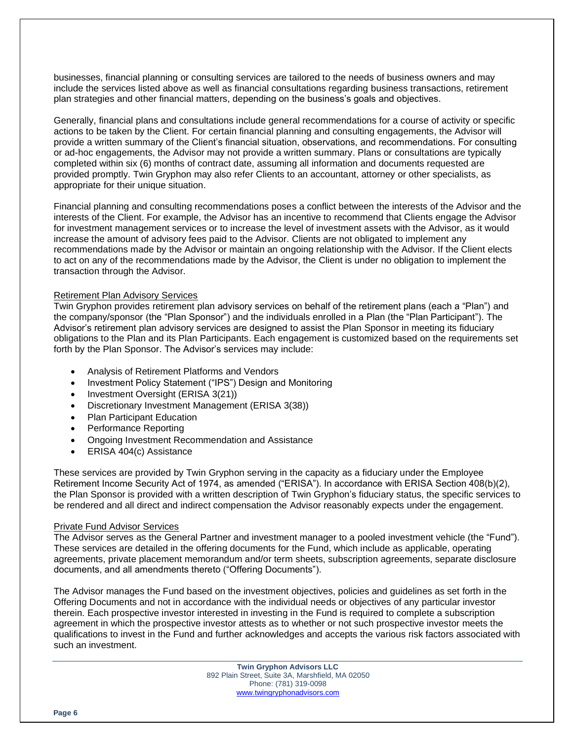businesses, financial planning or consulting services are tailored to the needs of business owners and may include the services listed above as well as financial consultations regarding business transactions, retirement plan strategies and other financial matters, depending on the business's goals and objectives.

Generally, financial plans and consultations include general recommendations for a course of activity or specific actions to be taken by the Client. For certain financial planning and consulting engagements, the Advisor will provide a written summary of the Client's financial situation, observations, and recommendations. For consulting or ad-hoc engagements, the Advisor may not provide a written summary. Plans or consultations are typically completed within six (6) months of contract date, assuming all information and documents requested are provided promptly. Twin Gryphon may also refer Clients to an accountant, attorney or other specialists, as appropriate for their unique situation.

Financial planning and consulting recommendations poses a conflict between the interests of the Advisor and the interests of the Client. For example, the Advisor has an incentive to recommend that Clients engage the Advisor for investment management services or to increase the level of investment assets with the Advisor, as it would increase the amount of advisory fees paid to the Advisor. Clients are not obligated to implement any recommendations made by the Advisor or maintain an ongoing relationship with the Advisor. If the Client elects to act on any of the recommendations made by the Advisor, the Client is under no obligation to implement the transaction through the Advisor.

#### Retirement Plan Advisory Services

Twin Gryphon provides retirement plan advisory services on behalf of the retirement plans (each a "Plan") and the company/sponsor (the "Plan Sponsor") and the individuals enrolled in a Plan (the "Plan Participant"). The Advisor's retirement plan advisory services are designed to assist the Plan Sponsor in meeting its fiduciary obligations to the Plan and its Plan Participants. Each engagement is customized based on the requirements set forth by the Plan Sponsor. The Advisor's services may include:

- Analysis of Retirement Platforms and Vendors
- Investment Policy Statement ("IPS") Design and Monitoring
- Investment Oversight (ERISA 3(21))
- Discretionary Investment Management (ERISA 3(38))
- Plan Participant Education
- Performance Reporting
- Ongoing Investment Recommendation and Assistance
- ERISA 404(c) Assistance

These services are provided by Twin Gryphon serving in the capacity as a fiduciary under the Employee Retirement Income Security Act of 1974, as amended ("ERISA"). In accordance with ERISA Section 408(b)(2), the Plan Sponsor is provided with a written description of Twin Gryphon's fiduciary status, the specific services to be rendered and all direct and indirect compensation the Advisor reasonably expects under the engagement.

#### Private Fund Advisor Services

The Advisor serves as the General Partner and investment manager to a pooled investment vehicle (the "Fund"). These services are detailed in the offering documents for the Fund, which include as applicable, operating agreements, private placement memorandum and/or term sheets, subscription agreements, separate disclosure documents, and all amendments thereto ("Offering Documents").

The Advisor manages the Fund based on the investment objectives, policies and guidelines as set forth in the Offering Documents and not in accordance with the individual needs or objectives of any particular investor therein. Each prospective investor interested in investing in the Fund is required to complete a subscription agreement in which the prospective investor attests as to whether or not such prospective investor meets the qualifications to invest in the Fund and further acknowledges and accepts the various risk factors associated with such an investment.

> **Twin Gryphon Advisors LLC** 892 Plain Street, Suite 3A, Marshfield, MA 02050 Phone: (781) 319-0098 [www.twingryphonadvisors.com](http://www.twingryphonadvisors.com/)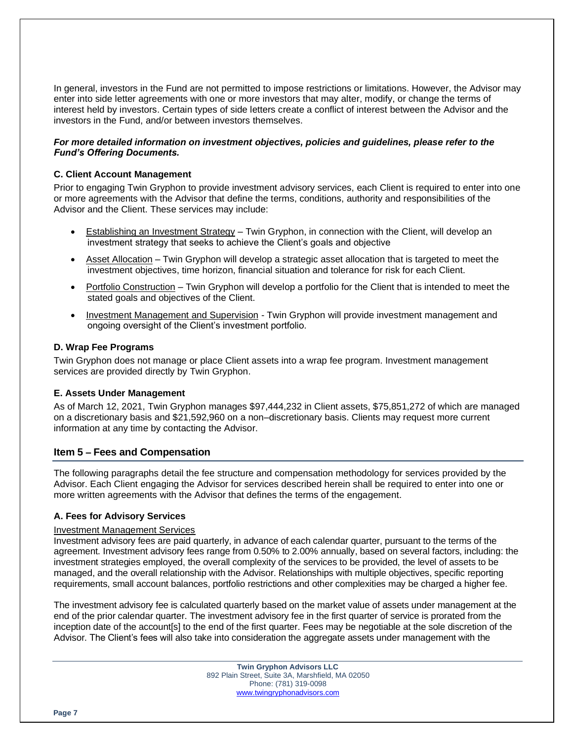In general, investors in the Fund are not permitted to impose restrictions or limitations. However, the Advisor may enter into side letter agreements with one or more investors that may alter, modify, or change the terms of interest held by investors. Certain types of side letters create a conflict of interest between the Advisor and the investors in the Fund, and/or between investors themselves.

# *For more detailed information on investment objectives, policies and guidelines, please refer to the Fund's Offering Documents.*

# **C. Client Account Management**

Prior to engaging Twin Gryphon to provide investment advisory services, each Client is required to enter into one or more agreements with the Advisor that define the terms, conditions, authority and responsibilities of the Advisor and the Client. These services may include:

- Establishing an Investment Strategy Twin Gryphon, in connection with the Client, will develop an investment strategy that seeks to achieve the Client's goals and objective
- Asset Allocation Twin Gryphon will develop a strategic asset allocation that is targeted to meet the investment objectives, time horizon, financial situation and tolerance for risk for each Client.
- Portfolio Construction Twin Gryphon will develop a portfolio for the Client that is intended to meet the stated goals and objectives of the Client.
- Investment Management and Supervision Twin Gryphon will provide investment management and ongoing oversight of the Client's investment portfolio.

# **D. Wrap Fee Programs**

Twin Gryphon does not manage or place Client assets into a wrap fee program. Investment management services are provided directly by Twin Gryphon.

#### **E. Assets Under Management**

As of March 12, 2021, Twin Gryphon manages \$97,444,232 in Client assets, \$75,851,272 of which are managed on a discretionary basis and \$21,592,960 on a non–discretionary basis. Clients may request more current information at any time by contacting the Advisor.

# **Item 5 – Fees and Compensation**

The following paragraphs detail the fee structure and compensation methodology for services provided by the Advisor. Each Client engaging the Advisor for services described herein shall be required to enter into one or more written agreements with the Advisor that defines the terms of the engagement.

# **A. Fees for Advisory Services**

#### Investment Management Services

Investment advisory fees are paid quarterly, in advance of each calendar quarter, pursuant to the terms of the agreement. Investment advisory fees range from 0.50% to 2.00% annually, based on several factors, including: the investment strategies employed, the overall complexity of the services to be provided, the level of assets to be managed, and the overall relationship with the Advisor. Relationships with multiple objectives, specific reporting requirements, small account balances, portfolio restrictions and other complexities may be charged a higher fee.

The investment advisory fee is calculated quarterly based on the market value of assets under management at the end of the prior calendar quarter. The investment advisory fee in the first quarter of service is prorated from the inception date of the account[s] to the end of the first quarter. Fees may be negotiable at the sole discretion of the Advisor. The Client's fees will also take into consideration the aggregate assets under management with the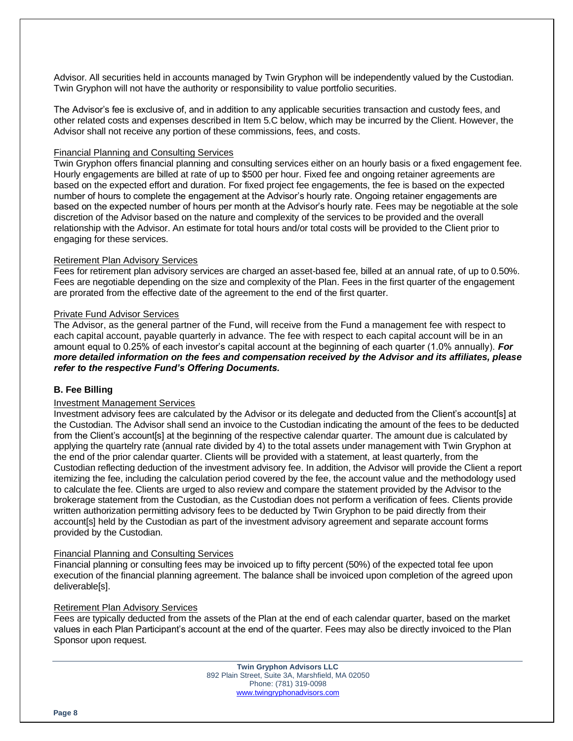Advisor. All securities held in accounts managed by Twin Gryphon will be independently valued by the Custodian. Twin Gryphon will not have the authority or responsibility to value portfolio securities.

The Advisor's fee is exclusive of, and in addition to any applicable securities transaction and custody fees, and other related costs and expenses described in Item 5.C below, which may be incurred by the Client. However, the Advisor shall not receive any portion of these commissions, fees, and costs.

#### Financial Planning and Consulting Services

Twin Gryphon offers financial planning and consulting services either on an hourly basis or a fixed engagement fee. Hourly engagements are billed at rate of up to \$500 per hour. Fixed fee and ongoing retainer agreements are based on the expected effort and duration. For fixed project fee engagements, the fee is based on the expected number of hours to complete the engagement at the Advisor's hourly rate. Ongoing retainer engagements are based on the expected number of hours per month at the Advisor's hourly rate. Fees may be negotiable at the sole discretion of the Advisor based on the nature and complexity of the services to be provided and the overall relationship with the Advisor. An estimate for total hours and/or total costs will be provided to the Client prior to engaging for these services.

#### Retirement Plan Advisory Services

Fees for retirement plan advisory services are charged an asset-based fee, billed at an annual rate, of up to 0.50%. Fees are negotiable depending on the size and complexity of the Plan. Fees in the first quarter of the engagement are prorated from the effective date of the agreement to the end of the first quarter.

#### Private Fund Advisor Services

The Advisor, as the general partner of the Fund, will receive from the Fund a management fee with respect to each capital account, payable quarterly in advance. The fee with respect to each capital account will be in an amount equal to 0.25% of each investor's capital account at the beginning of each quarter (1.0% annually). *For more detailed information on the fees and compensation received by the Advisor and its affiliates, please refer to the respective Fund's Offering Documents.* 

#### **B. Fee Billing**

#### Investment Management Services

Investment advisory fees are calculated by the Advisor or its delegate and deducted from the Client's account[s] at the Custodian. The Advisor shall send an invoice to the Custodian indicating the amount of the fees to be deducted from the Client's account[s] at the beginning of the respective calendar quarter. The amount due is calculated by applying the quartelry rate (annual rate divided by 4) to the total assets under management with Twin Gryphon at the end of the prior calendar quarter. Clients will be provided with a statement, at least quarterly, from the Custodian reflecting deduction of the investment advisory fee. In addition, the Advisor will provide the Client a report itemizing the fee, including the calculation period covered by the fee, the account value and the methodology used to calculate the fee. Clients are urged to also review and compare the statement provided by the Advisor to the brokerage statement from the Custodian, as the Custodian does not perform a verification of fees. Clients provide written authorization permitting advisory fees to be deducted by Twin Gryphon to be paid directly from their account[s] held by the Custodian as part of the investment advisory agreement and separate account forms provided by the Custodian.

#### Financial Planning and Consulting Services

Financial planning or consulting fees may be invoiced up to fifty percent (50%) of the expected total fee upon execution of the financial planning agreement. The balance shall be invoiced upon completion of the agreed upon deliverable[s].

#### Retirement Plan Advisory Services

Fees are typically deducted from the assets of the Plan at the end of each calendar quarter, based on the market values in each Plan Participant's account at the end of the quarter. Fees may also be directly invoiced to the Plan Sponsor upon request.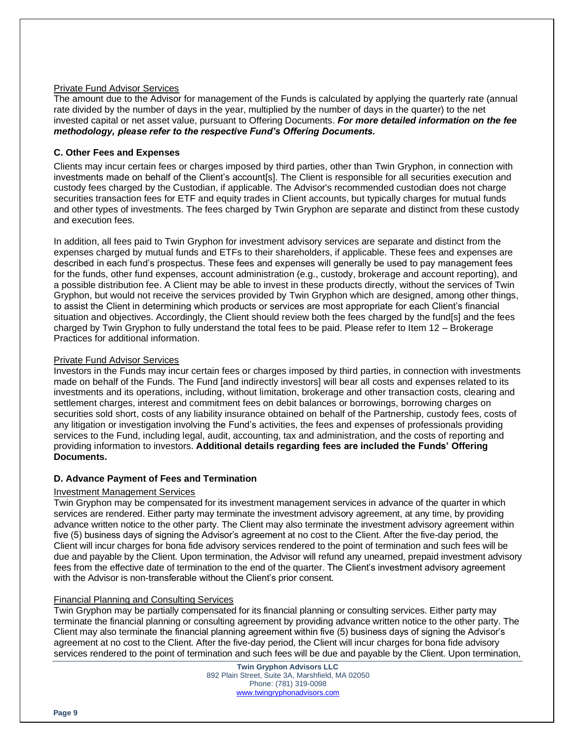# Private Fund Advisor Services

The amount due to the Advisor for management of the Funds is calculated by applying the quarterly rate (annual rate divided by the number of days in the year, multiplied by the number of days in the quarter) to the net invested capital or net asset value, pursuant to Offering Documents. *For more detailed information on the fee methodology, please refer to the respective Fund's Offering Documents.* 

# **C. Other Fees and Expenses**

Clients may incur certain fees or charges imposed by third parties, other than Twin Gryphon, in connection with investments made on behalf of the Client's account[s]. The Client is responsible for all securities execution and custody fees charged by the Custodian, if applicable. The Advisor's recommended custodian does not charge securities transaction fees for ETF and equity trades in Client accounts, but typically charges for mutual funds and other types of investments. The fees charged by Twin Gryphon are separate and distinct from these custody and execution fees.

In addition, all fees paid to Twin Gryphon for investment advisory services are separate and distinct from the expenses charged by mutual funds and ETFs to their shareholders, if applicable. These fees and expenses are described in each fund's prospectus. These fees and expenses will generally be used to pay management fees for the funds, other fund expenses, account administration (e.g., custody, brokerage and account reporting), and a possible distribution fee. A Client may be able to invest in these products directly, without the services of Twin Gryphon, but would not receive the services provided by Twin Gryphon which are designed, among other things, to assist the Client in determining which products or services are most appropriate for each Client's financial situation and objectives. Accordingly, the Client should review both the fees charged by the fund[s] and the fees charged by Twin Gryphon to fully understand the total fees to be paid. Please refer to Item 12 – Brokerage Practices for additional information.

# Private Fund Advisor Services

Investors in the Funds may incur certain fees or charges imposed by third parties, in connection with investments made on behalf of the Funds. The Fund [and indirectly investors] will bear all costs and expenses related to its investments and its operations, including, without limitation, brokerage and other transaction costs, clearing and settlement charges, interest and commitment fees on debit balances or borrowings, borrowing charges on securities sold short, costs of any liability insurance obtained on behalf of the Partnership, custody fees, costs of any litigation or investigation involving the Fund's activities, the fees and expenses of professionals providing services to the Fund, including legal, audit, accounting, tax and administration, and the costs of reporting and providing information to investors. **Additional details regarding fees are included the Funds' Offering Documents.**

# **D. Advance Payment of Fees and Termination**

#### Investment Management Services

Twin Gryphon may be compensated for its investment management services in advance of the quarter in which services are rendered. Either party may terminate the investment advisory agreement, at any time, by providing advance written notice to the other party. The Client may also terminate the investment advisory agreement within five (5) business days of signing the Advisor's agreement at no cost to the Client. After the five-day period, the Client will incur charges for bona fide advisory services rendered to the point of termination and such fees will be due and payable by the Client. Upon termination, the Advisor will refund any unearned, prepaid investment advisory fees from the effective date of termination to the end of the quarter. The Client's investment advisory agreement with the Advisor is non-transferable without the Client's prior consent.

#### Financial Planning and Consulting Services

Twin Gryphon may be partially compensated for its financial planning or consulting services. Either party may terminate the financial planning or consulting agreement by providing advance written notice to the other party. The Client may also terminate the financial planning agreement within five (5) business days of signing the Advisor's agreement at no cost to the Client. After the five-day period, the Client will incur charges for bona fide advisory services rendered to the point of termination and such fees will be due and payable by the Client. Upon termination,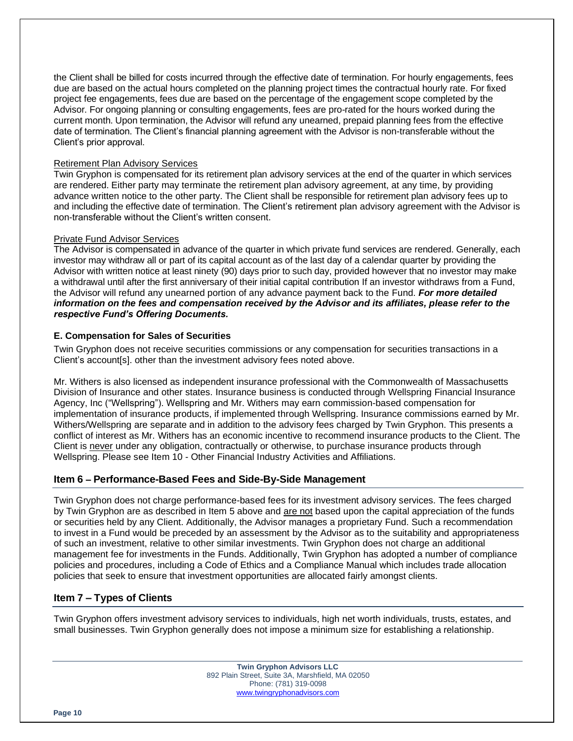the Client shall be billed for costs incurred through the effective date of termination. For hourly engagements, fees due are based on the actual hours completed on the planning project times the contractual hourly rate. For fixed project fee engagements, fees due are based on the percentage of the engagement scope completed by the Advisor. For ongoing planning or consulting engagements, fees are pro-rated for the hours worked during the current month. Upon termination, the Advisor will refund any unearned, prepaid planning fees from the effective date of termination. The Client's financial planning agreement with the Advisor is non-transferable without the Client's prior approval.

#### Retirement Plan Advisory Services

Twin Gryphon is compensated for its retirement plan advisory services at the end of the quarter in which services are rendered. Either party may terminate the retirement plan advisory agreement, at any time, by providing advance written notice to the other party. The Client shall be responsible for retirement plan advisory fees up to and including the effective date of termination. The Client's retirement plan advisory agreement with the Advisor is non-transferable without the Client's written consent.

#### Private Fund Advisor Services

The Advisor is compensated in advance of the quarter in which private fund services are rendered. Generally, each investor may withdraw all or part of its capital account as of the last day of a calendar quarter by providing the Advisor with written notice at least ninety (90) days prior to such day, provided however that no investor may make a withdrawal until after the first anniversary of their initial capital contribution If an investor withdraws from a Fund, the Advisor will refund any unearned portion of any advance payment back to the Fund. *For more detailed information on the fees and compensation received by the Advisor and its affiliates, please refer to the respective Fund's Offering Documents.* 

# **E. Compensation for Sales of Securities**

Twin Gryphon does not receive securities commissions or any compensation for securities transactions in a Client's account[s]. other than the investment advisory fees noted above.

Mr. Withers is also licensed as independent insurance professional with the Commonwealth of Massachusetts Division of Insurance and other states. Insurance business is conducted through Wellspring Financial Insurance Agency, Inc ("Wellspring"). Wellspring and Mr. Withers may earn commission-based compensation for implementation of insurance products, if implemented through Wellspring. Insurance commissions earned by Mr. Withers/Wellspring are separate and in addition to the advisory fees charged by Twin Gryphon. This presents a conflict of interest as Mr. Withers has an economic incentive to recommend insurance products to the Client. The Client is never under any obligation, contractually or otherwise, to purchase insurance products through Wellspring. Please see Item 10 - Other Financial Industry Activities and Affiliations.

# **Item 6 – Performance-Based Fees and Side-By-Side Management**

Twin Gryphon does not charge performance-based fees for its investment advisory services. The fees charged by Twin Gryphon are as described in Item 5 above and are not based upon the capital appreciation of the funds or securities held by any Client. Additionally, the Advisor manages a proprietary Fund. Such a recommendation to invest in a Fund would be preceded by an assessment by the Advisor as to the suitability and appropriateness of such an investment, relative to other similar investments. Twin Gryphon does not charge an additional management fee for investments in the Funds. Additionally, Twin Gryphon has adopted a number of compliance policies and procedures, including a Code of Ethics and a Compliance Manual which includes trade allocation policies that seek to ensure that investment opportunities are allocated fairly amongst clients.

# **Item 7 – Types of Clients**

Twin Gryphon offers investment advisory services to individuals, high net worth individuals, trusts, estates, and small businesses. Twin Gryphon generally does not impose a minimum size for establishing a relationship.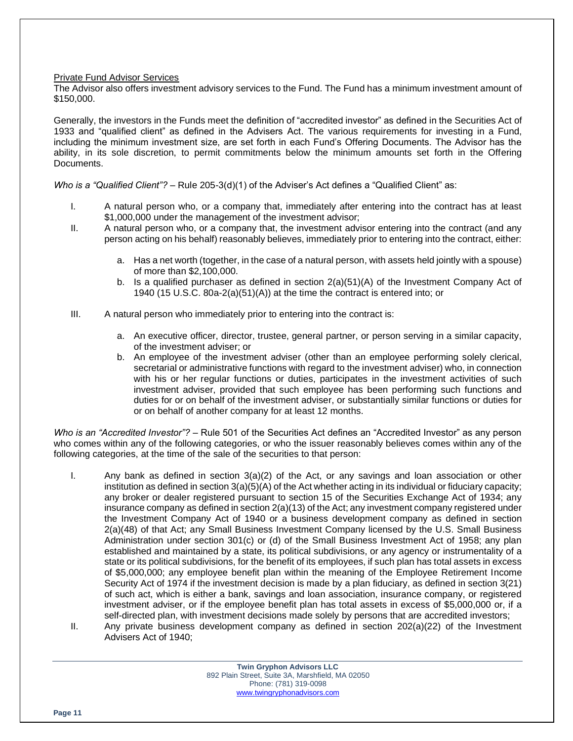#### Private Fund Advisor Services

The Advisor also offers investment advisory services to the Fund. The Fund has a minimum investment amount of \$150,000.

Generally, the investors in the Funds meet the definition of "accredited investor" as defined in the Securities Act of 1933 and "qualified client" as defined in the Advisers Act. The various requirements for investing in a Fund, including the minimum investment size, are set forth in each Fund's Offering Documents. The Advisor has the ability, in its sole discretion, to permit commitments below the minimum amounts set forth in the Offering Documents.

*Who is a "Qualified Client"? –* Rule 205-3(d)(1) of the Adviser's Act defines a "Qualified Client" as:

- I. A natural person who, or a company that, immediately after entering into the contract has at least \$1,000,000 under the management of the investment advisor;
- II. A natural person who, or a company that, the investment advisor entering into the contract (and any person acting on his behalf) reasonably believes, immediately prior to entering into the contract, either:
	- a. Has a net worth (together, in the case of a natural person, with assets held jointly with a spouse) of more than \$2,100,000.
	- b. Is a qualified purchaser as defined in section 2(a)(51)(A) of the Investment Company Act of 1940 (15 U.S.C. 80a-2(a)(51)(A)) at the time the contract is entered into; or
- III. A natural person who immediately prior to entering into the contract is:
	- a. An executive officer, director, trustee, general partner, or person serving in a similar capacity, of the investment adviser; or
	- b. An employee of the investment adviser (other than an employee performing solely clerical, secretarial or administrative functions with regard to the investment adviser) who, in connection with his or her regular functions or duties, participates in the investment activities of such investment adviser, provided that such employee has been performing such functions and duties for or on behalf of the investment adviser, or substantially similar functions or duties for or on behalf of another company for at least 12 months.

*Who is an "Accredited Investor"? –* Rule 501 of the Securities Act defines an "Accredited Investor" as any person who comes within any of the following categories, or who the issuer reasonably believes comes within any of the following categories, at the time of the sale of the securities to that person:

- I. Any bank as defined in section 3(a)(2) of the Act, or any savings and loan association or other institution as defined in section 3(a)(5)(A) of the Act whether acting in its individual or fiduciary capacity; any broker or dealer registered pursuant to section 15 of the Securities Exchange Act of 1934; any insurance company as defined in section 2(a)(13) of the Act; any investment company registered under the Investment Company Act of 1940 or a business development company as defined in section 2(a)(48) of that Act; any Small Business Investment Company licensed by the U.S. Small Business Administration under section 301(c) or (d) of the Small Business Investment Act of 1958; any plan established and maintained by a state, its political subdivisions, or any agency or instrumentality of a state or its political subdivisions, for the benefit of its employees, if such plan has total assets in excess of \$5,000,000; any employee benefit plan within the meaning of the Employee Retirement Income Security Act of 1974 if the investment decision is made by a plan fiduciary, as defined in section 3(21) of such act, which is either a bank, savings and loan association, insurance company, or registered investment adviser, or if the employee benefit plan has total assets in excess of \$5,000,000 or, if a self-directed plan, with investment decisions made solely by persons that are accredited investors;
- II. Any private business development company as defined in section  $202(a)(22)$  of the Investment Advisers Act of 1940;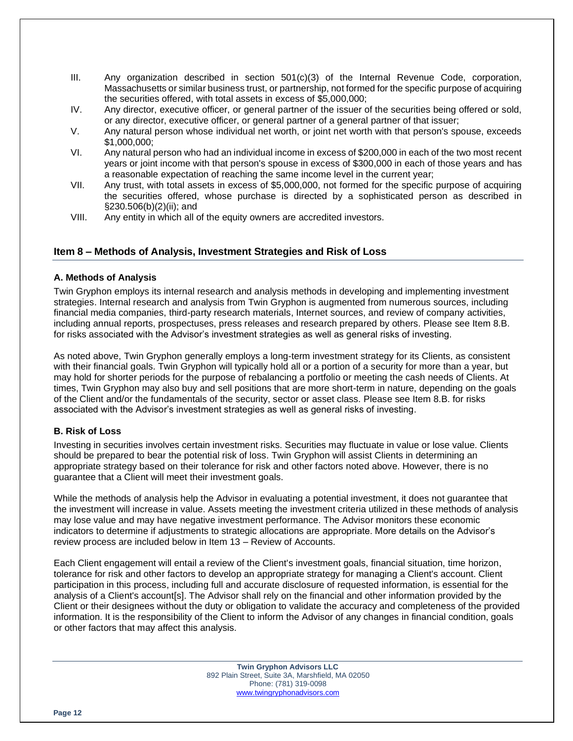- III. Any organization described in section 501(c)(3) of the Internal Revenue Code, corporation, Massachusetts or similar business trust, or partnership, not formed for the specific purpose of acquiring the securities offered, with total assets in excess of \$5,000,000;
- IV. Any director, executive officer, or general partner of the issuer of the securities being offered or sold, or any director, executive officer, or general partner of a general partner of that issuer;
- V. Any natural person whose individual net worth, or joint net worth with that person's spouse, exceeds \$1,000,000;
- VI. Any natural person who had an individual income in excess of \$200,000 in each of the two most recent years or joint income with that person's spouse in excess of \$300,000 in each of those years and has a reasonable expectation of reaching the same income level in the current year;
- VII. Any trust, with total assets in excess of \$5,000,000, not formed for the specific purpose of acquiring the securities offered, whose purchase is directed by a sophisticated person as described in §230.506(b)(2)(ii); and
- VIII. Any entity in which all of the equity owners are accredited investors.

# **Item 8 – Methods of Analysis, Investment Strategies and Risk of Loss**

# **A. Methods of Analysis**

Twin Gryphon employs its internal research and analysis methods in developing and implementing investment strategies. Internal research and analysis from Twin Gryphon is augmented from numerous sources, including financial media companies, third-party research materials, Internet sources, and review of company activities, including annual reports, prospectuses, press releases and research prepared by others. Please see Item 8.B. for risks associated with the Advisor's investment strategies as well as general risks of investing.

As noted above, Twin Gryphon generally employs a long-term investment strategy for its Clients, as consistent with their financial goals. Twin Gryphon will typically hold all or a portion of a security for more than a year, but may hold for shorter periods for the purpose of rebalancing a portfolio or meeting the cash needs of Clients. At times, Twin Gryphon may also buy and sell positions that are more short-term in nature, depending on the goals of the Client and/or the fundamentals of the security, sector or asset class. Please see Item 8.B. for risks associated with the Advisor's investment strategies as well as general risks of investing.

#### **B. Risk of Loss**

Investing in securities involves certain investment risks. Securities may fluctuate in value or lose value. Clients should be prepared to bear the potential risk of loss. Twin Gryphon will assist Clients in determining an appropriate strategy based on their tolerance for risk and other factors noted above. However, there is no guarantee that a Client will meet their investment goals.

While the methods of analysis help the Advisor in evaluating a potential investment, it does not guarantee that the investment will increase in value. Assets meeting the investment criteria utilized in these methods of analysis may lose value and may have negative investment performance. The Advisor monitors these economic indicators to determine if adjustments to strategic allocations are appropriate. More details on the Advisor's review process are included below in Item 13 – Review of Accounts.

Each Client engagement will entail a review of the Client's investment goals, financial situation, time horizon, tolerance for risk and other factors to develop an appropriate strategy for managing a Client's account. Client participation in this process, including full and accurate disclosure of requested information, is essential for the analysis of a Client's account[s]. The Advisor shall rely on the financial and other information provided by the Client or their designees without the duty or obligation to validate the accuracy and completeness of the provided information. It is the responsibility of the Client to inform the Advisor of any changes in financial condition, goals or other factors that may affect this analysis.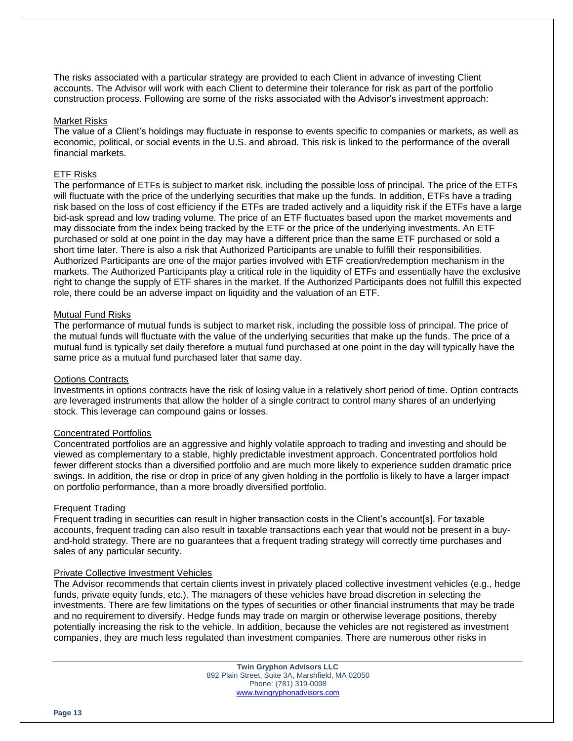The risks associated with a particular strategy are provided to each Client in advance of investing Client accounts. The Advisor will work with each Client to determine their tolerance for risk as part of the portfolio construction process. Following are some of the risks associated with the Advisor's investment approach:

#### Market Risks

The value of a Client's holdings may fluctuate in response to events specific to companies or markets, as well as economic, political, or social events in the U.S. and abroad. This risk is linked to the performance of the overall financial markets.

#### ETF Risks

The performance of ETFs is subject to market risk, including the possible loss of principal. The price of the ETFs will fluctuate with the price of the underlying securities that make up the funds. In addition, ETFs have a trading risk based on the loss of cost efficiency if the ETFs are traded actively and a liquidity risk if the ETFs have a large bid-ask spread and low trading volume. The price of an ETF fluctuates based upon the market movements and may dissociate from the index being tracked by the ETF or the price of the underlying investments. An ETF purchased or sold at one point in the day may have a different price than the same ETF purchased or sold a short time later. There is also a risk that Authorized Participants are unable to fulfill their responsibilities. Authorized Participants are one of the major parties involved with ETF creation/redemption mechanism in the markets. The Authorized Participants play a critical role in the liquidity of ETFs and essentially have the exclusive right to change the supply of ETF shares in the market. If the Authorized Participants does not fulfill this expected role, there could be an adverse impact on liquidity and the valuation of an ETF.

#### **Mutual Fund Risks**

The performance of mutual funds is subject to market risk, including the possible loss of principal. The price of the mutual funds will fluctuate with the value of the underlying securities that make up the funds. The price of a mutual fund is typically set daily therefore a mutual fund purchased at one point in the day will typically have the same price as a mutual fund purchased later that same day.

#### Options Contracts

Investments in options contracts have the risk of losing value in a relatively short period of time. Option contracts are leveraged instruments that allow the holder of a single contract to control many shares of an underlying stock. This leverage can compound gains or losses.

#### Concentrated Portfolios

Concentrated portfolios are an aggressive and highly volatile approach to trading and investing and should be viewed as complementary to a stable, highly predictable investment approach. Concentrated portfolios hold fewer different stocks than a diversified portfolio and are much more likely to experience sudden dramatic price swings. In addition, the rise or drop in price of any given holding in the portfolio is likely to have a larger impact on portfolio performance, than a more broadly diversified portfolio.

#### Frequent Trading

Frequent trading in securities can result in higher transaction costs in the Client's account[s]. For taxable accounts, frequent trading can also result in taxable transactions each year that would not be present in a buyand-hold strategy. There are no guarantees that a frequent trading strategy will correctly time purchases and sales of any particular security.

#### Private Collective Investment Vehicles

The Advisor recommends that certain clients invest in privately placed collective investment vehicles (e.g., hedge funds, private equity funds, etc.). The managers of these vehicles have broad discretion in selecting the investments. There are few limitations on the types of securities or other financial instruments that may be trade and no requirement to diversify. Hedge funds may trade on margin or otherwise leverage positions, thereby potentially increasing the risk to the vehicle. In addition, because the vehicles are not registered as investment companies, they are much less regulated than investment companies. There are numerous other risks in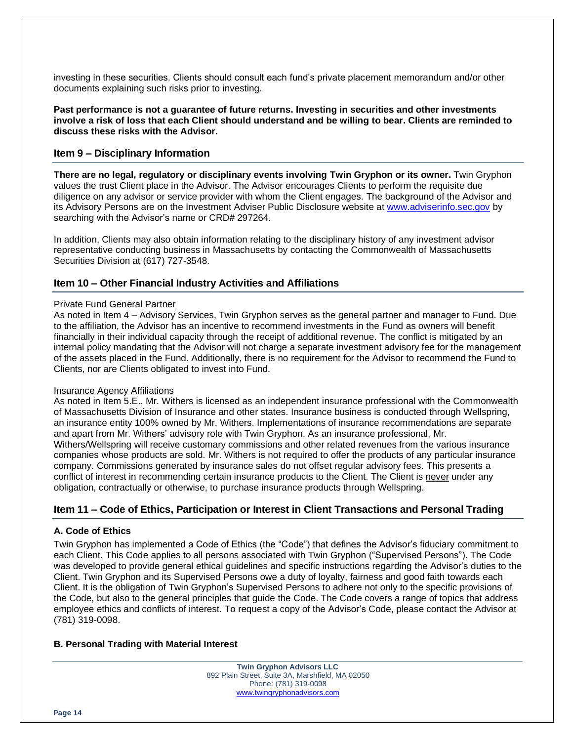investing in these securities. Clients should consult each fund's private placement memorandum and/or other documents explaining such risks prior to investing.

**Past performance is not a guarantee of future returns. Investing in securities and other investments involve a risk of loss that each Client should understand and be willing to bear. Clients are reminded to discuss these risks with the Advisor.**

# **Item 9 – Disciplinary Information**

**There are no legal, regulatory or disciplinary events involving Twin Gryphon or its owner.** Twin Gryphon values the trust Client place in the Advisor. The Advisor encourages Clients to perform the requisite due diligence on any advisor or service provider with whom the Client engages. The background of the Advisor and its Advisory Persons are on the Investment Adviser Public Disclosure website at [www.adviserinfo.sec.gov](http://www.adviserinfo.sec.gov/) by searching with the Advisor's name or CRD# 297264.

In addition, Clients may also obtain information relating to the disciplinary history of any investment advisor representative conducting business in Massachusetts by contacting the Commonwealth of Massachusetts Securities Division at (617) 727-3548.

# **Item 10 – Other Financial Industry Activities and Affiliations**

#### Private Fund General Partner

As noted in Item 4 – Advisory Services, Twin Gryphon serves as the general partner and manager to Fund. Due to the affiliation, the Advisor has an incentive to recommend investments in the Fund as owners will benefit financially in their individual capacity through the receipt of additional revenue. The conflict is mitigated by an internal policy mandating that the Advisor will not charge a separate investment advisory fee for the management of the assets placed in the Fund. Additionally, there is no requirement for the Advisor to recommend the Fund to Clients, nor are Clients obligated to invest into Fund.

#### Insurance Agency Affiliations

As noted in Item 5.E., Mr. Withers is licensed as an independent insurance professional with the Commonwealth of Massachusetts Division of Insurance and other states. Insurance business is conducted through Wellspring, an insurance entity 100% owned by Mr. Withers. Implementations of insurance recommendations are separate and apart from Mr. Withers' advisory role with Twin Gryphon. As an insurance professional, Mr. Withers/Wellspring will receive customary commissions and other related revenues from the various insurance companies whose products are sold. Mr. Withers is not required to offer the products of any particular insurance company. Commissions generated by insurance sales do not offset regular advisory fees. This presents a conflict of interest in recommending certain insurance products to the Client. The Client is never under any obligation, contractually or otherwise, to purchase insurance products through Wellspring.

# **Item 11 – Code of Ethics, Participation or Interest in Client Transactions and Personal Trading**

#### **A. Code of Ethics**

Twin Gryphon has implemented a Code of Ethics (the "Code") that defines the Advisor's fiduciary commitment to each Client. This Code applies to all persons associated with Twin Gryphon ("Supervised Persons"). The Code was developed to provide general ethical guidelines and specific instructions regarding the Advisor's duties to the Client. Twin Gryphon and its Supervised Persons owe a duty of loyalty, fairness and good faith towards each Client. It is the obligation of Twin Gryphon's Supervised Persons to adhere not only to the specific provisions of the Code, but also to the general principles that guide the Code. The Code covers a range of topics that address employee ethics and conflicts of interest. To request a copy of the Advisor's Code, please contact the Advisor at (781) 319-0098.

#### **B. Personal Trading with Material Interest**

**Twin Gryphon Advisors LLC** 892 Plain Street, Suite 3A, Marshfield, MA 02050 Phone: (781) 319-0098 [www.twingryphonadvisors.com](http://www.twingryphonadvisors.com/)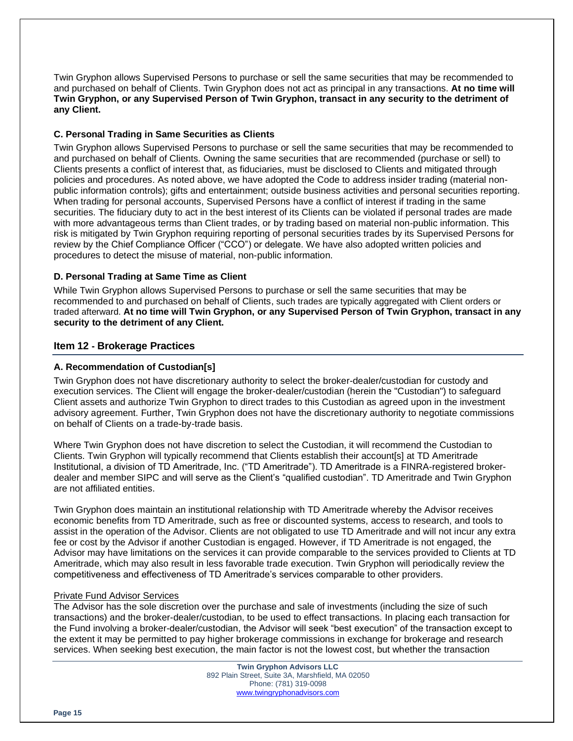Twin Gryphon allows Supervised Persons to purchase or sell the same securities that may be recommended to and purchased on behalf of Clients. Twin Gryphon does not act as principal in any transactions. **At no time will Twin Gryphon, or any Supervised Person of Twin Gryphon, transact in any security to the detriment of any Client.** 

# **C. Personal Trading in Same Securities as Clients**

Twin Gryphon allows Supervised Persons to purchase or sell the same securities that may be recommended to and purchased on behalf of Clients. Owning the same securities that are recommended (purchase or sell) to Clients presents a conflict of interest that, as fiduciaries, must be disclosed to Clients and mitigated through policies and procedures. As noted above, we have adopted the Code to address insider trading (material nonpublic information controls); gifts and entertainment; outside business activities and personal securities reporting. When trading for personal accounts, Supervised Persons have a conflict of interest if trading in the same securities. The fiduciary duty to act in the best interest of its Clients can be violated if personal trades are made with more advantageous terms than Client trades, or by trading based on material non-public information. This risk is mitigated by Twin Gryphon requiring reporting of personal securities trades by its Supervised Persons for review by the Chief Compliance Officer ("CCO") or delegate. We have also adopted written policies and procedures to detect the misuse of material, non-public information.

# **D. Personal Trading at Same Time as Client**

While Twin Gryphon allows Supervised Persons to purchase or sell the same securities that may be recommended to and purchased on behalf of Clients, such trades are typically aggregated with Client orders or traded afterward. **At no time will Twin Gryphon, or any Supervised Person of Twin Gryphon, transact in any security to the detriment of any Client.**

# **Item 12 - Brokerage Practices**

# **A. Recommendation of Custodian[s]**

Twin Gryphon does not have discretionary authority to select the broker-dealer/custodian for custody and execution services. The Client will engage the broker-dealer/custodian (herein the "Custodian") to safeguard Client assets and authorize Twin Gryphon to direct trades to this Custodian as agreed upon in the investment advisory agreement. Further, Twin Gryphon does not have the discretionary authority to negotiate commissions on behalf of Clients on a trade-by-trade basis.

Where Twin Gryphon does not have discretion to select the Custodian, it will recommend the Custodian to Clients. Twin Gryphon will typically recommend that Clients establish their account[s] at TD Ameritrade Institutional, a division of TD Ameritrade, Inc. ("TD Ameritrade"). TD Ameritrade is a FINRA-registered brokerdealer and member SIPC and will serve as the Client's "qualified custodian". TD Ameritrade and Twin Gryphon are not affiliated entities.

Twin Gryphon does maintain an institutional relationship with TD Ameritrade whereby the Advisor receives economic benefits from TD Ameritrade, such as free or discounted systems, access to research, and tools to assist in the operation of the Advisor. Clients are not obligated to use TD Ameritrade and will not incur any extra fee or cost by the Advisor if another Custodian is engaged. However, if TD Ameritrade is not engaged, the Advisor may have limitations on the services it can provide comparable to the services provided to Clients at TD Ameritrade, which may also result in less favorable trade execution. Twin Gryphon will periodically review the competitiveness and effectiveness of TD Ameritrade's services comparable to other providers.

#### Private Fund Advisor Services

The Advisor has the sole discretion over the purchase and sale of investments (including the size of such transactions) and the broker-dealer/custodian, to be used to effect transactions. In placing each transaction for the Fund involving a broker-dealer/custodian, the Advisor will seek "best execution" of the transaction except to the extent it may be permitted to pay higher brokerage commissions in exchange for brokerage and research services. When seeking best execution, the main factor is not the lowest cost, but whether the transaction

> **Twin Gryphon Advisors LLC** 892 Plain Street, Suite 3A, Marshfield, MA 02050 Phone: (781) 319-0098 [www.twingryphonadvisors.com](http://www.twingryphonadvisors.com/)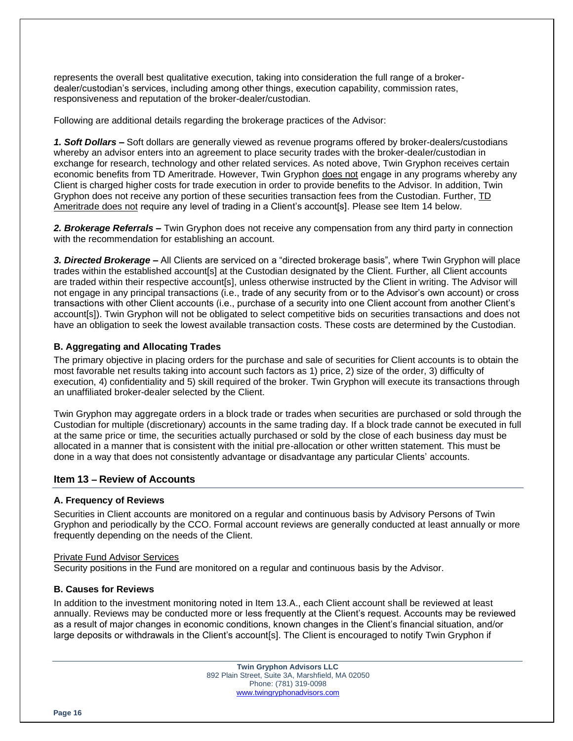represents the overall best qualitative execution, taking into consideration the full range of a brokerdealer/custodian's services, including among other things, execution capability, commission rates, responsiveness and reputation of the broker-dealer/custodian.

Following are additional details regarding the brokerage practices of the Advisor:

*1. Soft Dollars –* Soft dollars are generally viewed as revenue programs offered by broker-dealers/custodians whereby an advisor enters into an agreement to place security trades with the broker-dealer/custodian in exchange for research, technology and other related services. As noted above, Twin Gryphon receives certain economic benefits from TD Ameritrade. However, Twin Gryphon does not engage in any programs whereby any Client is charged higher costs for trade execution in order to provide benefits to the Advisor. In addition, Twin Gryphon does not receive any portion of these securities transaction fees from the Custodian. Further, TD Ameritrade does not require any level of trading in a Client's account[s]. Please see Item 14 below.

*2. Brokerage Referrals –* Twin Gryphon does not receive any compensation from any third party in connection with the recommendation for establishing an account.

*3. Directed Brokerage –* All Clients are serviced on a "directed brokerage basis", where Twin Gryphon will place trades within the established account[s] at the Custodian designated by the Client. Further, all Client accounts are traded within their respective account[s], unless otherwise instructed by the Client in writing. The Advisor will not engage in any principal transactions (i.e., trade of any security from or to the Advisor's own account) or cross transactions with other Client accounts (i.e., purchase of a security into one Client account from another Client's account[s]). Twin Gryphon will not be obligated to select competitive bids on securities transactions and does not have an obligation to seek the lowest available transaction costs. These costs are determined by the Custodian.

# **B. Aggregating and Allocating Trades**

The primary objective in placing orders for the purchase and sale of securities for Client accounts is to obtain the most favorable net results taking into account such factors as 1) price, 2) size of the order, 3) difficulty of execution, 4) confidentiality and 5) skill required of the broker. Twin Gryphon will execute its transactions through an unaffiliated broker-dealer selected by the Client.

Twin Gryphon may aggregate orders in a block trade or trades when securities are purchased or sold through the Custodian for multiple (discretionary) accounts in the same trading day. If a block trade cannot be executed in full at the same price or time, the securities actually purchased or sold by the close of each business day must be allocated in a manner that is consistent with the initial pre-allocation or other written statement. This must be done in a way that does not consistently advantage or disadvantage any particular Clients' accounts.

# **Item 13 – Review of Accounts**

#### **A. Frequency of Reviews**

Securities in Client accounts are monitored on a regular and continuous basis by Advisory Persons of Twin Gryphon and periodically by the CCO. Formal account reviews are generally conducted at least annually or more frequently depending on the needs of the Client.

#### Private Fund Advisor Services

Security positions in the Fund are monitored on a regular and continuous basis by the Advisor.

#### **B. Causes for Reviews**

In addition to the investment monitoring noted in Item 13.A., each Client account shall be reviewed at least annually. Reviews may be conducted more or less frequently at the Client's request. Accounts may be reviewed as a result of major changes in economic conditions, known changes in the Client's financial situation, and/or large deposits or withdrawals in the Client's account[s]. The Client is encouraged to notify Twin Gryphon if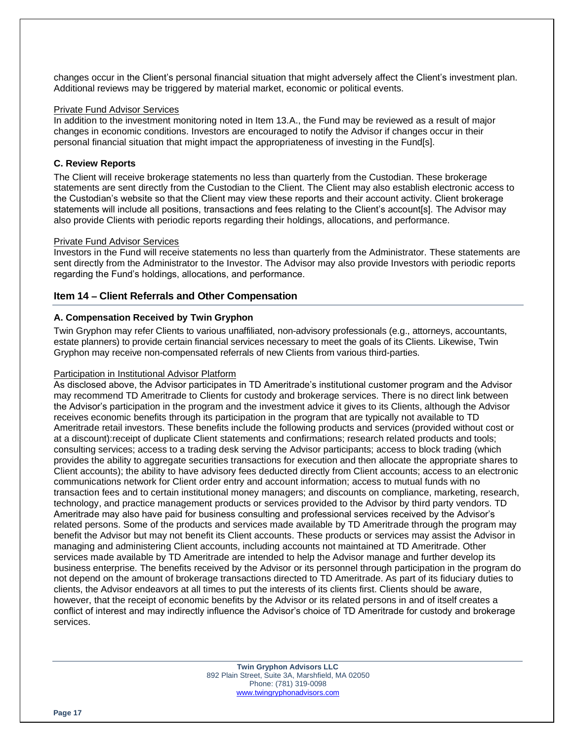changes occur in the Client's personal financial situation that might adversely affect the Client's investment plan. Additional reviews may be triggered by material market, economic or political events.

#### Private Fund Advisor Services

In addition to the investment monitoring noted in Item 13.A., the Fund may be reviewed as a result of major changes in economic conditions. Investors are encouraged to notify the Advisor if changes occur in their personal financial situation that might impact the appropriateness of investing in the Fund[s].

#### **C. Review Reports**

The Client will receive brokerage statements no less than quarterly from the Custodian. These brokerage statements are sent directly from the Custodian to the Client. The Client may also establish electronic access to the Custodian's website so that the Client may view these reports and their account activity. Client brokerage statements will include all positions, transactions and fees relating to the Client's account[s]. The Advisor may also provide Clients with periodic reports regarding their holdings, allocations, and performance.

#### Private Fund Advisor Services

Investors in the Fund will receive statements no less than quarterly from the Administrator. These statements are sent directly from the Administrator to the Investor. The Advisor may also provide Investors with periodic reports regarding the Fund's holdings, allocations, and performance.

#### **Item 14 – Client Referrals and Other Compensation**

#### **A. Compensation Received by Twin Gryphon**

Twin Gryphon may refer Clients to various unaffiliated, non-advisory professionals (e.g., attorneys, accountants, estate planners) to provide certain financial services necessary to meet the goals of its Clients. Likewise, Twin Gryphon may receive non-compensated referrals of new Clients from various third-parties.

#### Participation in Institutional Advisor Platform

As disclosed above, the Advisor participates in TD Ameritrade's institutional customer program and the Advisor may recommend TD Ameritrade to Clients for custody and brokerage services. There is no direct link between the Advisor's participation in the program and the investment advice it gives to its Clients, although the Advisor receives economic benefits through its participation in the program that are typically not available to TD Ameritrade retail investors. These benefits include the following products and services (provided without cost or at a discount):receipt of duplicate Client statements and confirmations; research related products and tools; consulting services; access to a trading desk serving the Advisor participants; access to block trading (which provides the ability to aggregate securities transactions for execution and then allocate the appropriate shares to Client accounts); the ability to have advisory fees deducted directly from Client accounts; access to an electronic communications network for Client order entry and account information; access to mutual funds with no transaction fees and to certain institutional money managers; and discounts on compliance, marketing, research, technology, and practice management products or services provided to the Advisor by third party vendors. TD Ameritrade may also have paid for business consulting and professional services received by the Advisor's related persons. Some of the products and services made available by TD Ameritrade through the program may benefit the Advisor but may not benefit its Client accounts. These products or services may assist the Advisor in managing and administering Client accounts, including accounts not maintained at TD Ameritrade. Other services made available by TD Ameritrade are intended to help the Advisor manage and further develop its business enterprise. The benefits received by the Advisor or its personnel through participation in the program do not depend on the amount of brokerage transactions directed to TD Ameritrade. As part of its fiduciary duties to clients, the Advisor endeavors at all times to put the interests of its clients first. Clients should be aware, however, that the receipt of economic benefits by the Advisor or its related persons in and of itself creates a conflict of interest and may indirectly influence the Advisor's choice of TD Ameritrade for custody and brokerage services.

> **Twin Gryphon Advisors LLC** 892 Plain Street, Suite 3A, Marshfield, MA 02050 Phone: (781) 319-0098 [www.twingryphonadvisors.com](http://www.twingryphonadvisors.com/)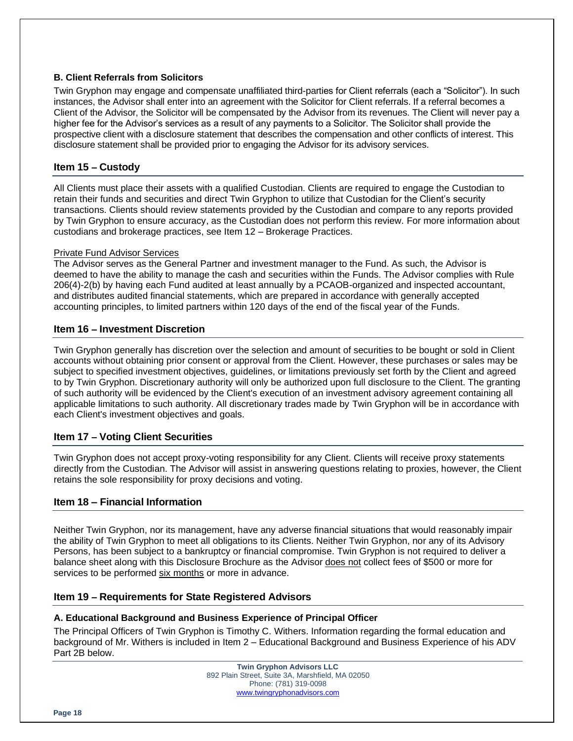# **B. Client Referrals from Solicitors**

Twin Gryphon may engage and compensate unaffiliated third-parties for Client referrals (each a "Solicitor"). In such instances, the Advisor shall enter into an agreement with the Solicitor for Client referrals. If a referral becomes a Client of the Advisor, the Solicitor will be compensated by the Advisor from its revenues. The Client will never pay a higher fee for the Advisor's services as a result of any payments to a Solicitor. The Solicitor shall provide the prospective client with a disclosure statement that describes the compensation and other conflicts of interest. This disclosure statement shall be provided prior to engaging the Advisor for its advisory services.

# **Item 15 – Custody**

All Clients must place their assets with a qualified Custodian. Clients are required to engage the Custodian to retain their funds and securities and direct Twin Gryphon to utilize that Custodian for the Client's security transactions. Clients should review statements provided by the Custodian and compare to any reports provided by Twin Gryphon to ensure accuracy, as the Custodian does not perform this review. For more information about custodians and brokerage practices, see Item 12 – Brokerage Practices.

# Private Fund Advisor Services

The Advisor serves as the General Partner and investment manager to the Fund. As such, the Advisor is deemed to have the ability to manage the cash and securities within the Funds. The Advisor complies with Rule 206(4)-2(b) by having each Fund audited at least annually by a PCAOB-organized and inspected accountant, and distributes audited financial statements, which are prepared in accordance with generally accepted accounting principles, to limited partners within 120 days of the end of the fiscal year of the Funds.

# **Item 16 – Investment Discretion**

Twin Gryphon generally has discretion over the selection and amount of securities to be bought or sold in Client accounts without obtaining prior consent or approval from the Client. However, these purchases or sales may be subject to specified investment objectives, guidelines, or limitations previously set forth by the Client and agreed to by Twin Gryphon. Discretionary authority will only be authorized upon full disclosure to the Client. The granting of such authority will be evidenced by the Client's execution of an investment advisory agreement containing all applicable limitations to such authority. All discretionary trades made by Twin Gryphon will be in accordance with each Client's investment objectives and goals.

# **Item 17 – Voting Client Securities**

Twin Gryphon does not accept proxy-voting responsibility for any Client. Clients will receive proxy statements directly from the Custodian. The Advisor will assist in answering questions relating to proxies, however, the Client retains the sole responsibility for proxy decisions and voting.

# **Item 18 – Financial Information**

Neither Twin Gryphon, nor its management, have any adverse financial situations that would reasonably impair the ability of Twin Gryphon to meet all obligations to its Clients. Neither Twin Gryphon, nor any of its Advisory Persons, has been subject to a bankruptcy or financial compromise. Twin Gryphon is not required to deliver a balance sheet along with this Disclosure Brochure as the Advisor does not collect fees of \$500 or more for services to be performed six months or more in advance.

# **Item 19 – Requirements for State Registered Advisors**

#### **A. Educational Background and Business Experience of Principal Officer**

The Principal Officers of Twin Gryphon is Timothy C. Withers. Information regarding the formal education and background of Mr. Withers is included in Item 2 – Educational Background and Business Experience of his ADV Part 2B below.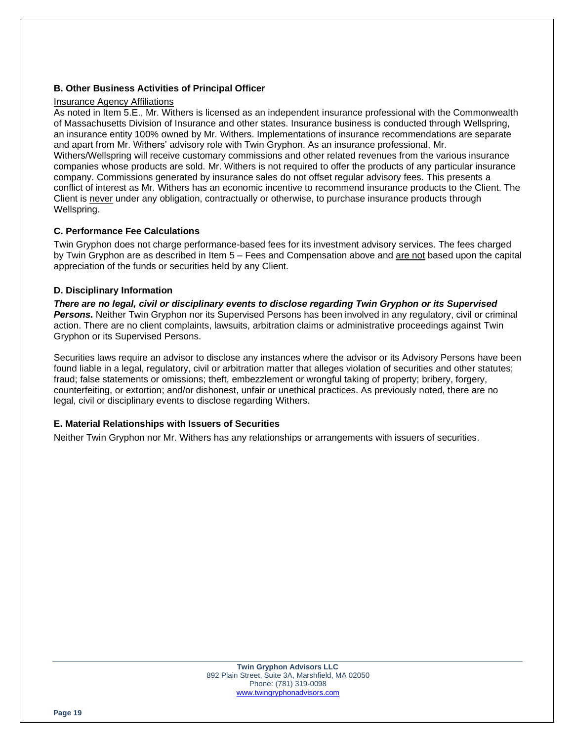# **B. Other Business Activities of Principal Officer**

#### Insurance Agency Affiliations

As noted in Item 5.E., Mr. Withers is licensed as an independent insurance professional with the Commonwealth of Massachusetts Division of Insurance and other states. Insurance business is conducted through Wellspring, an insurance entity 100% owned by Mr. Withers. Implementations of insurance recommendations are separate and apart from Mr. Withers' advisory role with Twin Gryphon. As an insurance professional, Mr. Withers/Wellspring will receive customary commissions and other related revenues from the various insurance companies whose products are sold. Mr. Withers is not required to offer the products of any particular insurance company. Commissions generated by insurance sales do not offset regular advisory fees. This presents a conflict of interest as Mr. Withers has an economic incentive to recommend insurance products to the Client. The Client is never under any obligation, contractually or otherwise, to purchase insurance products through Wellspring.

# **C. Performance Fee Calculations**

Twin Gryphon does not charge performance-based fees for its investment advisory services. The fees charged by Twin Gryphon are as described in Item 5 – Fees and Compensation above and are not based upon the capital appreciation of the funds or securities held by any Client.

# **D. Disciplinary Information**

*There are no legal, civil or disciplinary events to disclose regarding Twin Gryphon or its Supervised Persons.* Neither Twin Gryphon nor its Supervised Persons has been involved in any regulatory, civil or criminal action. There are no client complaints, lawsuits, arbitration claims or administrative proceedings against Twin Gryphon or its Supervised Persons.

Securities laws require an advisor to disclose any instances where the advisor or its Advisory Persons have been found liable in a legal, regulatory, civil or arbitration matter that alleges violation of securities and other statutes; fraud; false statements or omissions; theft, embezzlement or wrongful taking of property; bribery, forgery, counterfeiting, or extortion; and/or dishonest, unfair or unethical practices. As previously noted, there are no legal, civil or disciplinary events to disclose regarding Withers.

# **E. Material Relationships with Issuers of Securities**

Neither Twin Gryphon nor Mr. Withers has any relationships or arrangements with issuers of securities.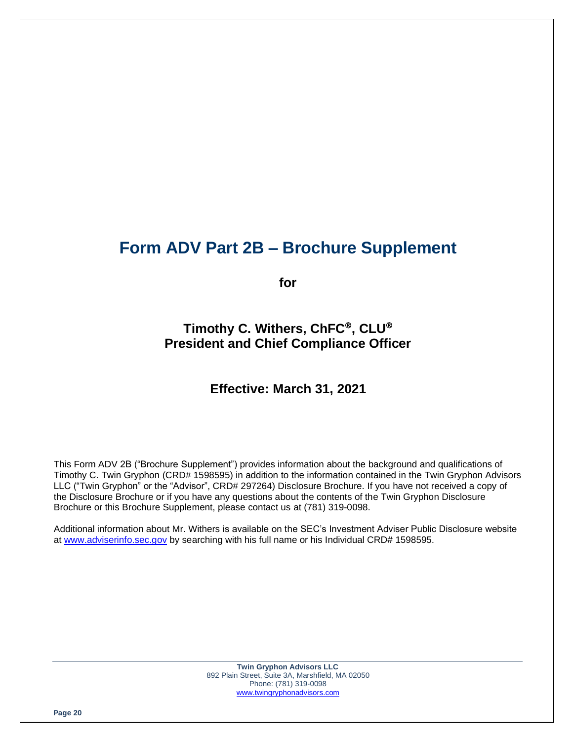# **Form ADV Part 2B – Brochure Supplement**

**for**

# **Timothy C. Withers, ChFC , CLU President and Chief Compliance Officer**

# **Effective: March 31, 2021**

This Form ADV 2B ("Brochure Supplement") provides information about the background and qualifications of Timothy C. Twin Gryphon (CRD# 1598595) in addition to the information contained in the Twin Gryphon Advisors LLC ("Twin Gryphon" or the "Advisor", CRD# 297264) Disclosure Brochure. If you have not received a copy of the Disclosure Brochure or if you have any questions about the contents of the Twin Gryphon Disclosure Brochure or this Brochure Supplement, please contact us at (781) 319-0098.

Additional information about Mr. Withers is available on the SEC's Investment Adviser Public Disclosure website at [www.adviserinfo.sec.gov](http://www.adviserinfo.sec.gov/) by searching with his full name or his Individual CRD# 1598595.

> **Twin Gryphon Advisors LLC** 892 Plain Street, Suite 3A, Marshfield, MA 02050 Phone: (781) 319-0098 [www.twingryphonadvisors.com](http://www.twingryphonadvisors.com/)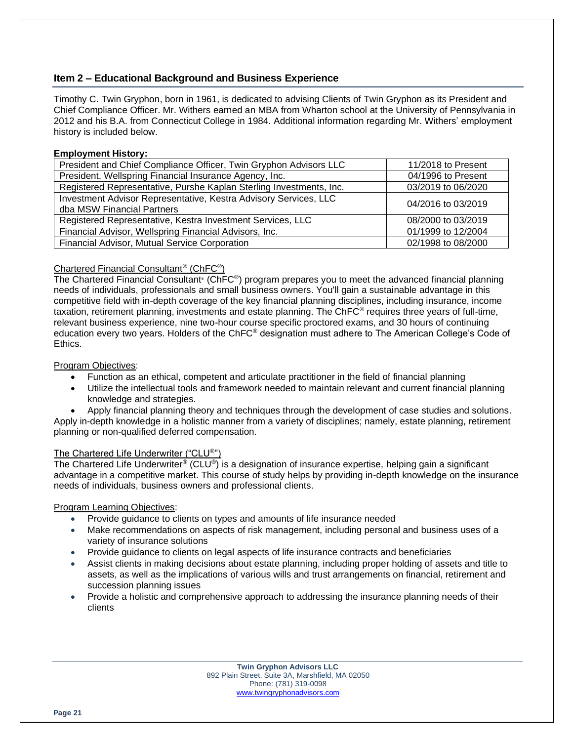# **Item 2 – Educational Background and Business Experience**

Timothy C. Twin Gryphon, born in 1961, is dedicated to advising Clients of Twin Gryphon as it*s* President and Chief Compliance Officer. Mr. Withers earned an MBA from Wharton school at the University of Pennsylvania in 2012 and his B.A. from Connecticut College in 1984. Additional information regarding Mr. Withers' employment history is included below.

#### **Employment History:**

| President and Chief Compliance Officer, Twin Gryphon Advisors LLC   | 11/2018 to Present |
|---------------------------------------------------------------------|--------------------|
| President, Wellspring Financial Insurance Agency, Inc.              | 04/1996 to Present |
| Registered Representative, Purshe Kaplan Sterling Investments, Inc. | 03/2019 to 06/2020 |
| Investment Advisor Representative, Kestra Advisory Services, LLC    | 04/2016 to 03/2019 |
| dba MSW Financial Partners                                          |                    |
| Registered Representative, Kestra Investment Services, LLC          | 08/2000 to 03/2019 |
| Financial Advisor, Wellspring Financial Advisors, Inc.              | 01/1999 to 12/2004 |
| Financial Advisor, Mutual Service Corporation                       | 02/1998 to 08/2000 |

# Chartered Financial Consultant® (ChFC®)

The Chartered Financial Consultant® (ChFC<sup>®</sup>) program prepares you to meet the advanced financial planning needs of individuals, professionals and small business owners. You'll gain a sustainable advantage in this competitive field with in-depth coverage of the key financial planning disciplines, including insurance, income taxation, retirement planning, investments and estate planning. The ChFC® requires three years of full-time, relevant business experience, nine two-hour course specific proctored exams, and 30 hours of continuing education every two years. Holders of the ChFC® designation must adhere to The American College's Code of Ethics.

#### Program Objectives:

- Function as an ethical, competent and articulate practitioner in the field of financial planning
- Utilize the intellectual tools and framework needed to maintain relevant and current financial planning knowledge and strategies.
- Apply financial planning theory and techniques through the development of case studies and solutions. Apply in-depth knowledge in a holistic manner from a variety of disciplines; namely, estate planning, retirement planning or non-qualified deferred compensation.

# The Chartered Life Underwriter ("CLU®")

The Chartered Life Underwriter® (CLU®) is a designation of insurance expertise, helping gain a significant advantage in a competitive market. This course of study helps by providing in-depth knowledge on the insurance needs of individuals, business owners and professional clients.

Program Learning Objectives:

- Provide guidance to clients on types and amounts of life insurance needed
- Make recommendations on aspects of risk management, including personal and business uses of a variety of insurance solutions
- Provide guidance to clients on legal aspects of life insurance contracts and beneficiaries
- Assist clients in making decisions about estate planning, including proper holding of assets and title to assets, as well as the implications of various wills and trust arrangements on financial, retirement and succession planning issues
- Provide a holistic and comprehensive approach to addressing the insurance planning needs of their clients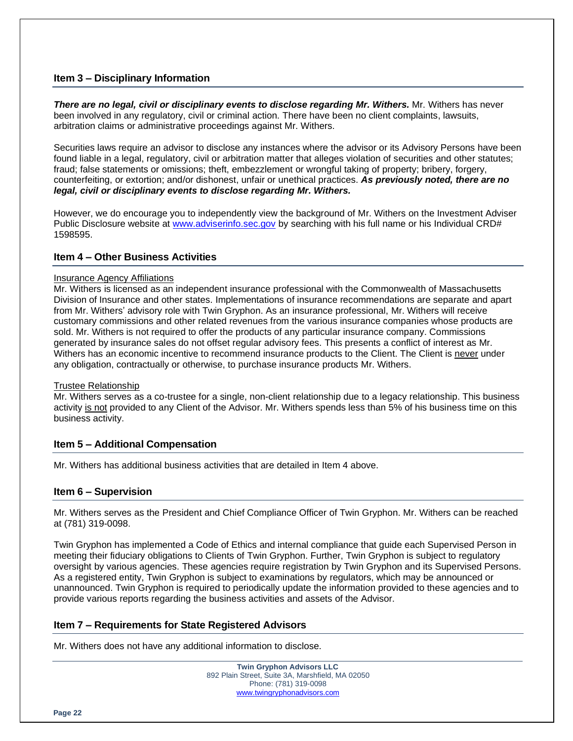# **Item 3 – Disciplinary Information**

*There are no legal, civil or disciplinary events to disclose regarding Mr. Withers.* Mr. Withers has never been involved in any regulatory, civil or criminal action. There have been no client complaints, lawsuits, arbitration claims or administrative proceedings against Mr. Withers.

Securities laws require an advisor to disclose any instances where the advisor or its Advisory Persons have been found liable in a legal, regulatory, civil or arbitration matter that alleges violation of securities and other statutes; fraud; false statements or omissions; theft, embezzlement or wrongful taking of property; bribery, forgery, counterfeiting, or extortion; and/or dishonest, unfair or unethical practices. *As previously noted, there are no legal, civil or disciplinary events to disclose regarding Mr. Withers.*

However, we do encourage you to independently view the background of Mr. Withers on the Investment Adviser Public Disclosure website at [www.adviserinfo.sec.gov](http://www.adviserinfo.sec.gov/) by searching with his full name or his Individual CRD# 1598595.

# **Item 4 – Other Business Activities**

#### Insurance Agency Affiliations

Mr. Withers is licensed as an independent insurance professional with the Commonwealth of Massachusetts Division of Insurance and other states. Implementations of insurance recommendations are separate and apart from Mr. Withers' advisory role with Twin Gryphon. As an insurance professional, Mr. Withers will receive customary commissions and other related revenues from the various insurance companies whose products are sold. Mr. Withers is not required to offer the products of any particular insurance company. Commissions generated by insurance sales do not offset regular advisory fees. This presents a conflict of interest as Mr. Withers has an economic incentive to recommend insurance products to the Client. The Client is never under any obligation, contractually or otherwise, to purchase insurance products Mr. Withers.

#### Trustee Relationship

Mr. Withers serves as a co-trustee for a single, non-client relationship due to a legacy relationship. This business activity is not provided to any Client of the Advisor. Mr. Withers spends less than 5% of his business time on this business activity.

#### **Item 5 – Additional Compensation**

Mr. Withers has additional business activities that are detailed in Item 4 above.

#### **Item 6 – Supervision**

Mr. Withers serves as the President and Chief Compliance Officer of Twin Gryphon. Mr. Withers can be reached at (781) 319-0098.

Twin Gryphon has implemented a Code of Ethics and internal compliance that guide each Supervised Person in meeting their fiduciary obligations to Clients of Twin Gryphon. Further, Twin Gryphon is subject to regulatory oversight by various agencies. These agencies require registration by Twin Gryphon and its Supervised Persons. As a registered entity, Twin Gryphon is subject to examinations by regulators, which may be announced or unannounced. Twin Gryphon is required to periodically update the information provided to these agencies and to provide various reports regarding the business activities and assets of the Advisor.

# **Item 7 – Requirements for State Registered Advisors**

Mr. Withers does not have any additional information to disclose.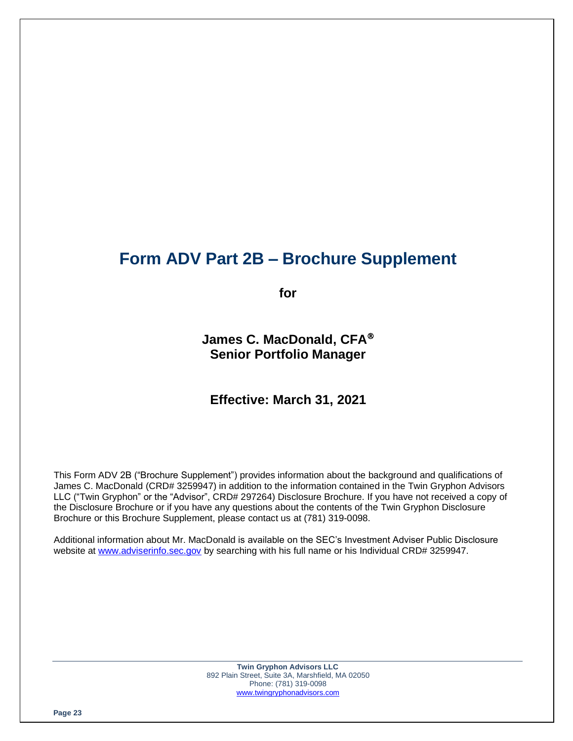# **Form ADV Part 2B – Brochure Supplement**

**for**

**James C. MacDonald, CFA Senior Portfolio Manager**

# **Effective: March 31, 2021**

This Form ADV 2B ("Brochure Supplement") provides information about the background and qualifications of James C. MacDonald (CRD# 3259947) in addition to the information contained in the Twin Gryphon Advisors LLC ("Twin Gryphon" or the "Advisor", CRD# 297264) Disclosure Brochure. If you have not received a copy of the Disclosure Brochure or if you have any questions about the contents of the Twin Gryphon Disclosure Brochure or this Brochure Supplement, please contact us at (781) 319-0098.

Additional information about Mr. MacDonald is available on the SEC's Investment Adviser Public Disclosure website at [www.adviserinfo.sec.gov](http://www.adviserinfo.sec.gov/) by searching with his full name or his Individual CRD# 3259947.

> **Twin Gryphon Advisors LLC** 892 Plain Street, Suite 3A, Marshfield, MA 02050 Phone: (781) 319-0098 [www.twingryphonadvisors.com](http://www.twingryphonadvisors.com/)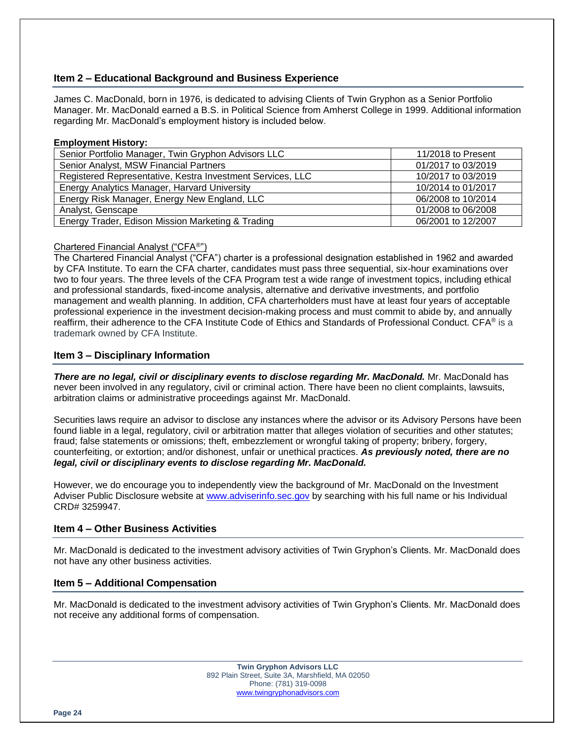# **Item 2 – Educational Background and Business Experience**

James C. MacDonald, born in 1976, is dedicated to advising Clients of Twin Gryphon as a Senior Portfolio Manager. Mr. MacDonald earned a B.S. in Political Science from Amherst College in 1999. Additional information regarding Mr. MacDonald's employment history is included below.

# **Employment History:**

| Senior Portfolio Manager, Twin Gryphon Advisors LLC        | 11/2018 to Present |
|------------------------------------------------------------|--------------------|
| Senior Analyst, MSW Financial Partners                     | 01/2017 to 03/2019 |
| Registered Representative, Kestra Investment Services, LLC | 10/2017 to 03/2019 |
| Energy Analytics Manager, Harvard University               | 10/2014 to 01/2017 |
| Energy Risk Manager, Energy New England, LLC               | 06/2008 to 10/2014 |
| Analyst, Genscape                                          | 01/2008 to 06/2008 |
| Energy Trader, Edison Mission Marketing & Trading          | 06/2001 to 12/2007 |

# Chartered Financial Analyst ("CFA®")

The Chartered Financial Analyst ("CFA") charter is a professional designation established in 1962 and awarded by CFA Institute. To earn the CFA charter, candidates must pass three sequential, six-hour examinations over two to four years. The three levels of the CFA Program test a wide range of investment topics, including ethical and professional standards, fixed-income analysis, alternative and derivative investments, and portfolio management and wealth planning. In addition, CFA charterholders must have at least four years of acceptable professional experience in the investment decision-making process and must commit to abide by, and annually reaffirm, their adherence to the CFA Institute Code of Ethics and Standards of Professional Conduct. CFA® is a trademark owned by CFA Institute.

# **Item 3 – Disciplinary Information**

*There are no legal, civil or disciplinary events to disclose regarding Mr. MacDonald.* Mr. MacDonald has never been involved in any regulatory, civil or criminal action. There have been no client complaints, lawsuits, arbitration claims or administrative proceedings against Mr. MacDonald.

Securities laws require an advisor to disclose any instances where the advisor or its Advisory Persons have been found liable in a legal, regulatory, civil or arbitration matter that alleges violation of securities and other statutes; fraud; false statements or omissions; theft, embezzlement or wrongful taking of property; bribery, forgery, counterfeiting, or extortion; and/or dishonest, unfair or unethical practices. *As previously noted, there are no legal, civil or disciplinary events to disclose regarding Mr. MacDonald.*

However, we do encourage you to independently view the background of Mr. MacDonald on the Investment Adviser Public Disclosure website at [www.adviserinfo.sec.gov](http://www.adviserinfo.sec.gov/) by searching with his full name or his Individual CRD# 3259947.

# **Item 4 – Other Business Activities**

Mr. MacDonald is dedicated to the investment advisory activities of Twin Gryphon's Clients. Mr. MacDonald does not have any other business activities.

# **Item 5 – Additional Compensation**

Mr. MacDonald is dedicated to the investment advisory activities of Twin Gryphon's Clients. Mr. MacDonald does not receive any additional forms of compensation.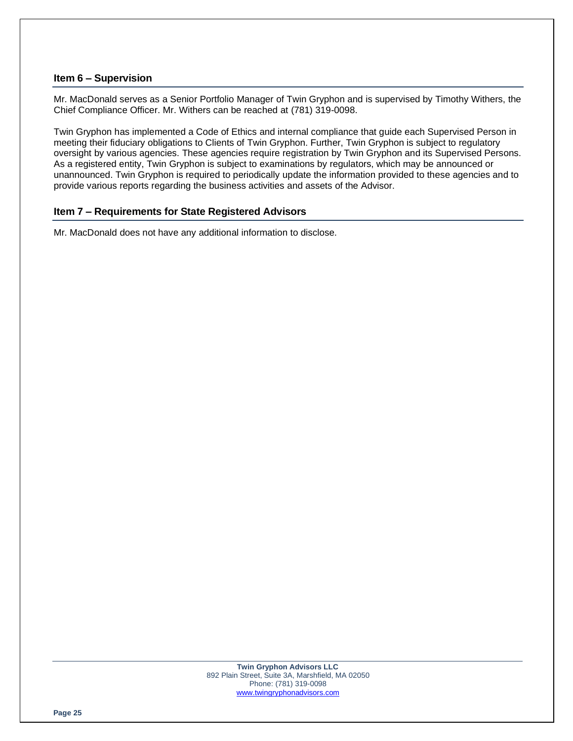# **Item 6 – Supervision**

Mr. MacDonald serves as a Senior Portfolio Manager of Twin Gryphon and is supervised by Timothy Withers, the Chief Compliance Officer. Mr. Withers can be reached at (781) 319-0098.

Twin Gryphon has implemented a Code of Ethics and internal compliance that guide each Supervised Person in meeting their fiduciary obligations to Clients of Twin Gryphon. Further, Twin Gryphon is subject to regulatory oversight by various agencies. These agencies require registration by Twin Gryphon and its Supervised Persons. As a registered entity, Twin Gryphon is subject to examinations by regulators, which may be announced or unannounced. Twin Gryphon is required to periodically update the information provided to these agencies and to provide various reports regarding the business activities and assets of the Advisor.

# **Item 7 – Requirements for State Registered Advisors**

Mr. MacDonald does not have any additional information to disclose.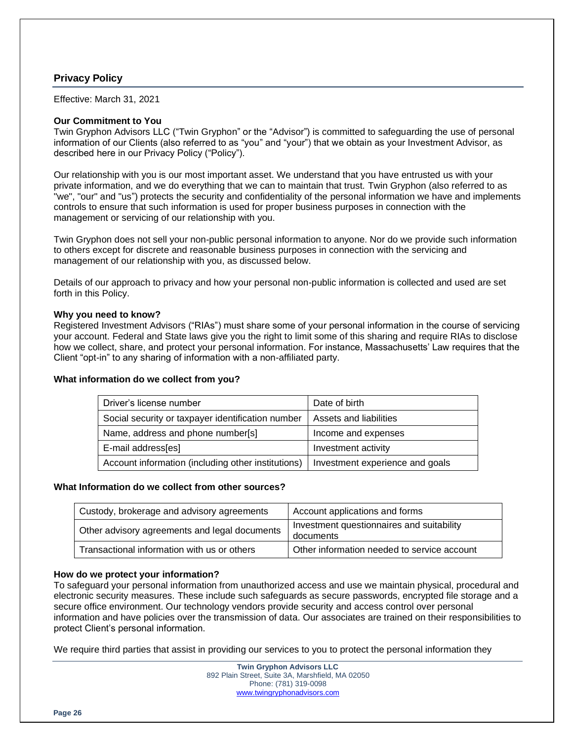# **Privacy Policy**

Effective: March 31, 2021

#### **Our Commitment to You**

Twin Gryphon Advisors LLC ("Twin Gryphon" or the "Advisor") is committed to safeguarding the use of personal information of our Clients (also referred to as "you" and "your") that we obtain as your Investment Advisor, as described here in our Privacy Policy ("Policy").

Our relationship with you is our most important asset. We understand that you have entrusted us with your private information, and we do everything that we can to maintain that trust. Twin Gryphon (also referred to as "we", "our" and "us") protects the security and confidentiality of the personal information we have and implements controls to ensure that such information is used for proper business purposes in connection with the management or servicing of our relationship with you.

Twin Gryphon does not sell your non-public personal information to anyone. Nor do we provide such information to others except for discrete and reasonable business purposes in connection with the servicing and management of our relationship with you, as discussed below.

Details of our approach to privacy and how your personal non-public information is collected and used are set forth in this Policy.

#### **Why you need to know?**

Registered Investment Advisors ("RIAs") must share some of your personal information in the course of servicing your account. Federal and State laws give you the right to limit some of this sharing and require RIAs to disclose how we collect, share, and protect your personal information. For instance, Massachusetts' Law requires that the Client "opt-in" to any sharing of information with a non-affiliated party.

#### **What information do we collect from you?**

| Driver's license number                            | Date of birth                   |
|----------------------------------------------------|---------------------------------|
| Social security or taxpayer identification number  | Assets and liabilities          |
| Name, address and phone number[s]                  | Income and expenses             |
| E-mail address[es]                                 | Investment activity             |
| Account information (including other institutions) | Investment experience and goals |

#### **What Information do we collect from other sources?**

| Custody, brokerage and advisory agreements    | Account applications and forms                         |
|-----------------------------------------------|--------------------------------------------------------|
| Other advisory agreements and legal documents | Investment questionnaires and suitability<br>documents |
| Transactional information with us or others   | Other information needed to service account            |

#### **How do we protect your information?**

To safeguard your personal information from unauthorized access and use we maintain physical, procedural and electronic security measures. These include such safeguards as secure passwords, encrypted file storage and a secure office environment. Our technology vendors provide security and access control over personal information and have policies over the transmission of data. Our associates are trained on their responsibilities to protect Client's personal information.

We require third parties that assist in providing our services to you to protect the personal information they

**Twin Gryphon Advisors LLC** 892 Plain Street, Suite 3A, Marshfield, MA 02050 Phone: (781) 319-0098 [www.twingryphonadvisors.com](http://www.twingryphonadvisors.com/)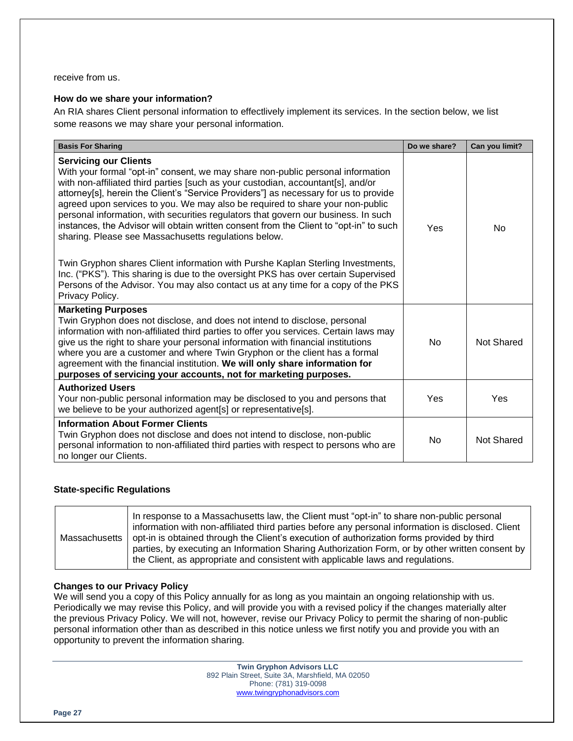receive from us.

# **How do we share your information?**

An RIA shares Client personal information to effectlively implement its services. In the section below, we list some reasons we may share your personal information.

| <b>Basis For Sharing</b>                                                                                                                                                                                                                                                                                                                                                                                                                                                                                                                                                                                                                                                                                                                                                                                                                                                           | Do we share? | Can you limit?    |
|------------------------------------------------------------------------------------------------------------------------------------------------------------------------------------------------------------------------------------------------------------------------------------------------------------------------------------------------------------------------------------------------------------------------------------------------------------------------------------------------------------------------------------------------------------------------------------------------------------------------------------------------------------------------------------------------------------------------------------------------------------------------------------------------------------------------------------------------------------------------------------|--------------|-------------------|
| <b>Servicing our Clients</b><br>With your formal "opt-in" consent, we may share non-public personal information<br>with non-affiliated third parties [such as your custodian, accountant[s], and/or<br>attorney[s], herein the Client's "Service Providers"] as necessary for us to provide<br>agreed upon services to you. We may also be required to share your non-public<br>personal information, with securities regulators that govern our business. In such<br>instances, the Advisor will obtain written consent from the Client to "opt-in" to such<br>sharing. Please see Massachusetts regulations below.<br>Twin Gryphon shares Client information with Purshe Kaplan Sterling Investments,<br>Inc. ("PKS"). This sharing is due to the oversight PKS has over certain Supervised<br>Persons of the Advisor. You may also contact us at any time for a copy of the PKS | Yes          | No.               |
| Privacy Policy.                                                                                                                                                                                                                                                                                                                                                                                                                                                                                                                                                                                                                                                                                                                                                                                                                                                                    |              |                   |
| <b>Marketing Purposes</b><br>Twin Gryphon does not disclose, and does not intend to disclose, personal<br>information with non-affiliated third parties to offer you services. Certain laws may<br>give us the right to share your personal information with financial institutions<br>where you are a customer and where Twin Gryphon or the client has a formal<br>agreement with the financial institution. We will only share information for<br>purposes of servicing your accounts, not for marketing purposes.                                                                                                                                                                                                                                                                                                                                                              | No.          | <b>Not Shared</b> |
| <b>Authorized Users</b><br>Your non-public personal information may be disclosed to you and persons that<br>we believe to be your authorized agent[s] or representative[s].                                                                                                                                                                                                                                                                                                                                                                                                                                                                                                                                                                                                                                                                                                        | Yes          | Yes               |
| <b>Information About Former Clients</b><br>Twin Gryphon does not disclose and does not intend to disclose, non-public<br>personal information to non-affiliated third parties with respect to persons who are<br>no longer our Clients.                                                                                                                                                                                                                                                                                                                                                                                                                                                                                                                                                                                                                                            | No           | <b>Not Shared</b> |

# **State-specific Regulations**

|  | In response to a Massachusetts law, the Client must "opt-in" to share non-public personal<br>information with non-affiliated third parties before any personal information is disclosed. Client<br>Massachusetts   opt-in is obtained through the Client's execution of authorization forms provided by third<br>parties, by executing an Information Sharing Authorization Form, or by other written consent by<br>the Client, as appropriate and consistent with applicable laws and regulations. |
|--|-----------------------------------------------------------------------------------------------------------------------------------------------------------------------------------------------------------------------------------------------------------------------------------------------------------------------------------------------------------------------------------------------------------------------------------------------------------------------------------------------------|
|--|-----------------------------------------------------------------------------------------------------------------------------------------------------------------------------------------------------------------------------------------------------------------------------------------------------------------------------------------------------------------------------------------------------------------------------------------------------------------------------------------------------|

# **Changes to our Privacy Policy**

We will send you a copy of this Policy annually for as long as you maintain an ongoing relationship with us. Periodically we may revise this Policy, and will provide you with a revised policy if the changes materially alter the previous Privacy Policy. We will not, however, revise our Privacy Policy to permit the sharing of non-public personal information other than as described in this notice unless we first notify you and provide you with an opportunity to prevent the information sharing.